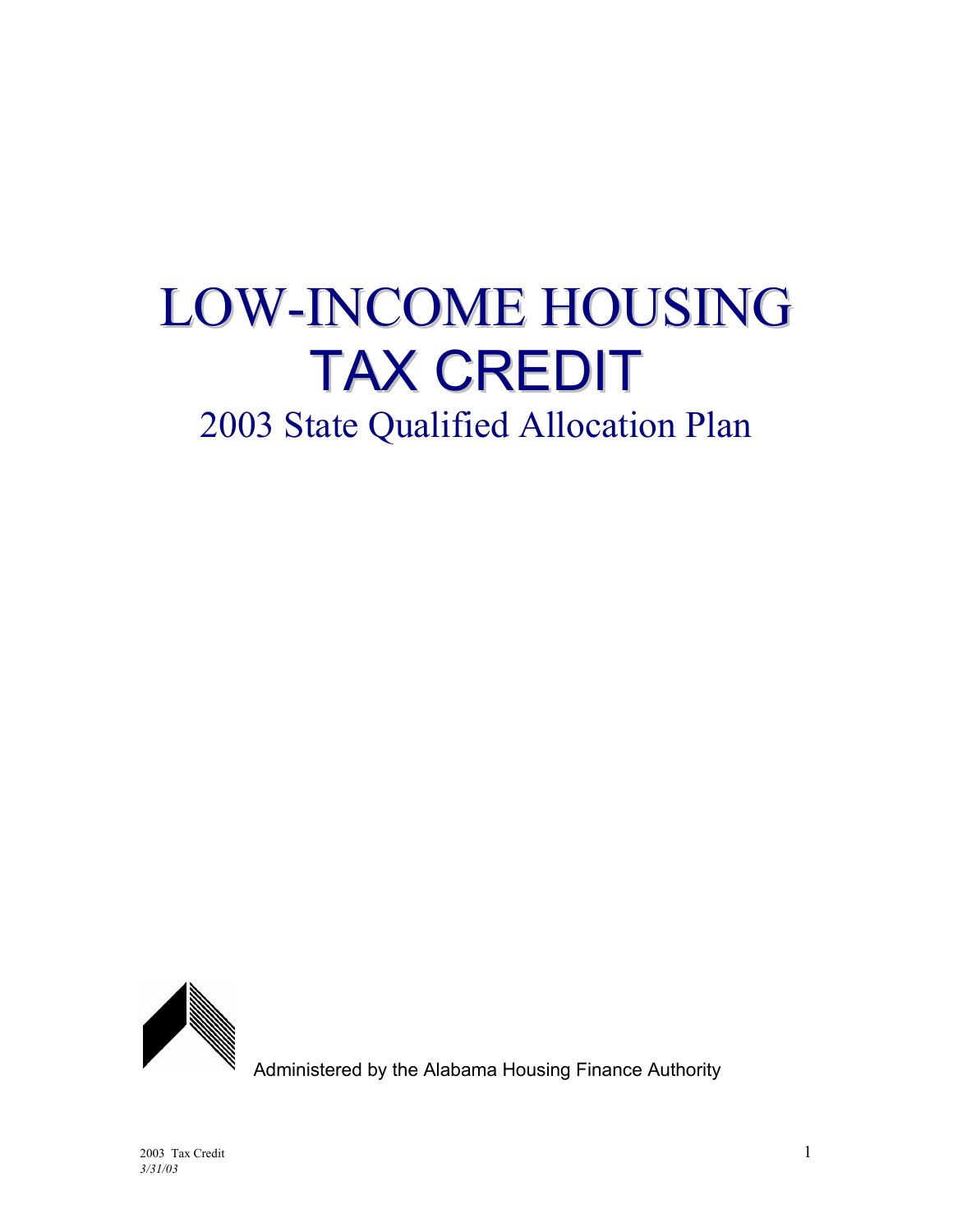# LOW-INCOME HOUSING TAX CREDIT 2003 State Qualified Allocation Plan



Administered by the Alabama Housing Finance Authority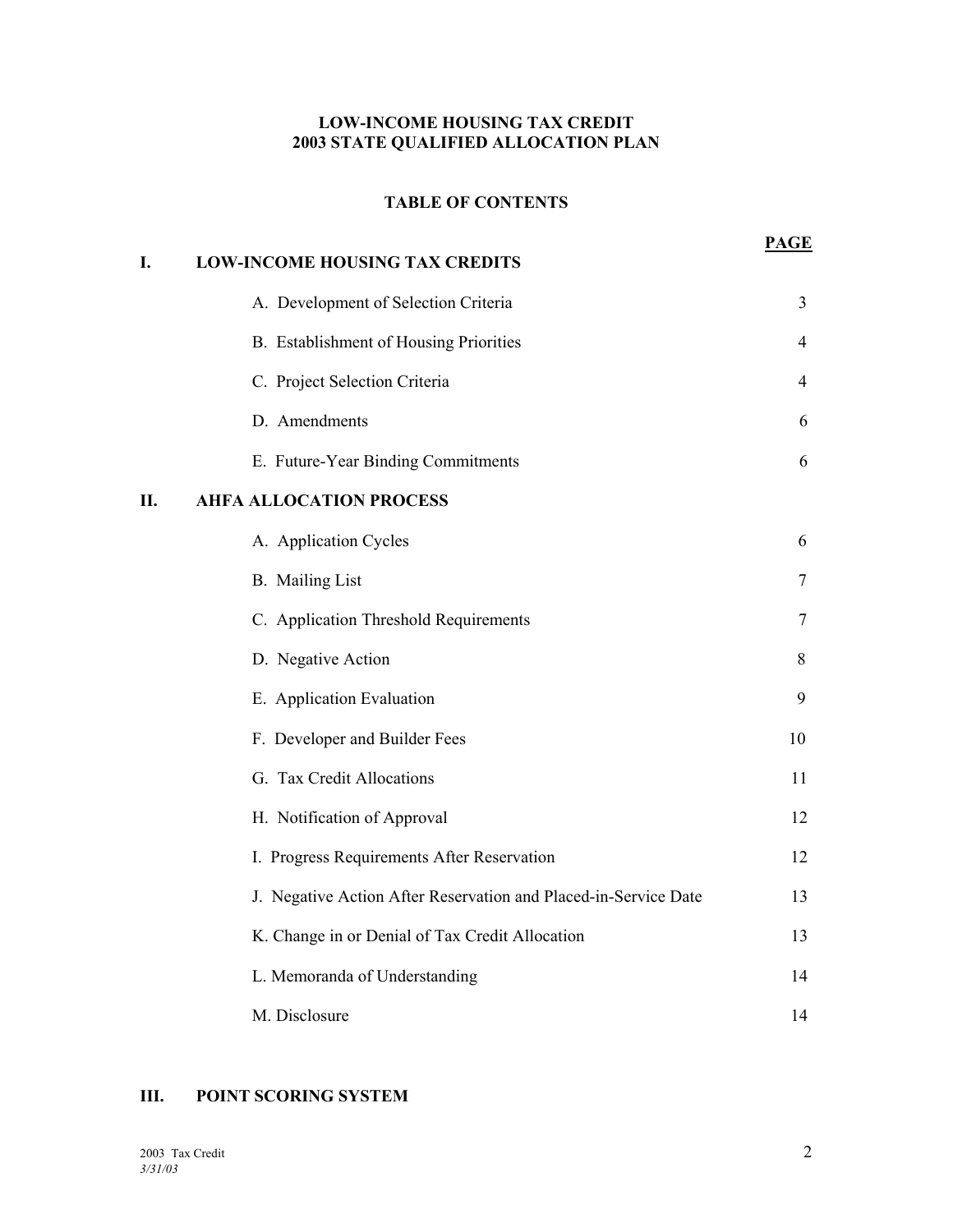#### **LOW-INCOME HOUSING TAX CREDIT 2003 STATE QUALIFIED ALLOCATION PLAN**

#### **TABLE OF CONTENTS**

| I. | <b>LOW-INCOME HOUSING TAX CREDITS</b>                           | <b>PAGE</b>    |
|----|-----------------------------------------------------------------|----------------|
|    | A. Development of Selection Criteria                            | 3              |
|    | B. Establishment of Housing Priorities                          | $\overline{4}$ |
|    | C. Project Selection Criteria                                   | 4              |
|    | D. Amendments                                                   | 6              |
|    | E. Future-Year Binding Commitments                              | 6              |
| Η. | <b>AHFA ALLOCATION PROCESS</b>                                  |                |
|    | A. Application Cycles                                           | 6              |
|    | <b>B.</b> Mailing List                                          | 7              |
|    | C. Application Threshold Requirements                           | 7              |
|    | D. Negative Action                                              | 8              |
|    | E. Application Evaluation                                       | 9              |
|    | F. Developer and Builder Fees                                   | 10             |
|    | G. Tax Credit Allocations                                       | 11             |
|    | H. Notification of Approval                                     | 12             |
|    | I. Progress Requirements After Reservation                      | 12             |
|    | J. Negative Action After Reservation and Placed-in-Service Date | 13             |
|    | K. Change in or Denial of Tax Credit Allocation                 | 13             |
|    | L. Memoranda of Understanding                                   | 14             |
|    | M. Disclosure                                                   | 14             |

### **III. POINT SCORING SYSTEM**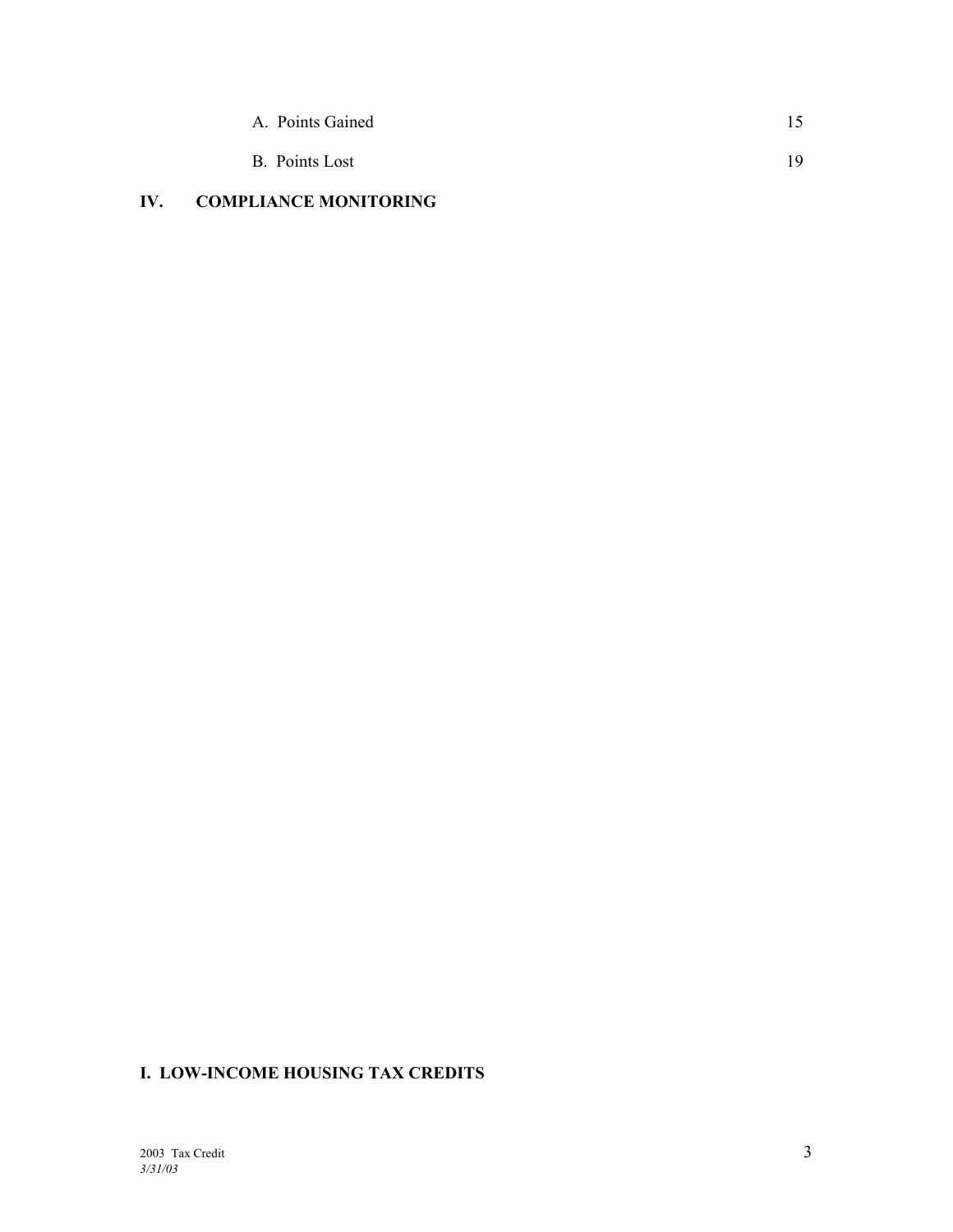| A. Points Gained |     |
|------------------|-----|
| B. Points Lost   | 19. |

# **IV. COMPLIANCE MONITORING**

# **I. LOW-INCOME HOUSING TAX CREDITS**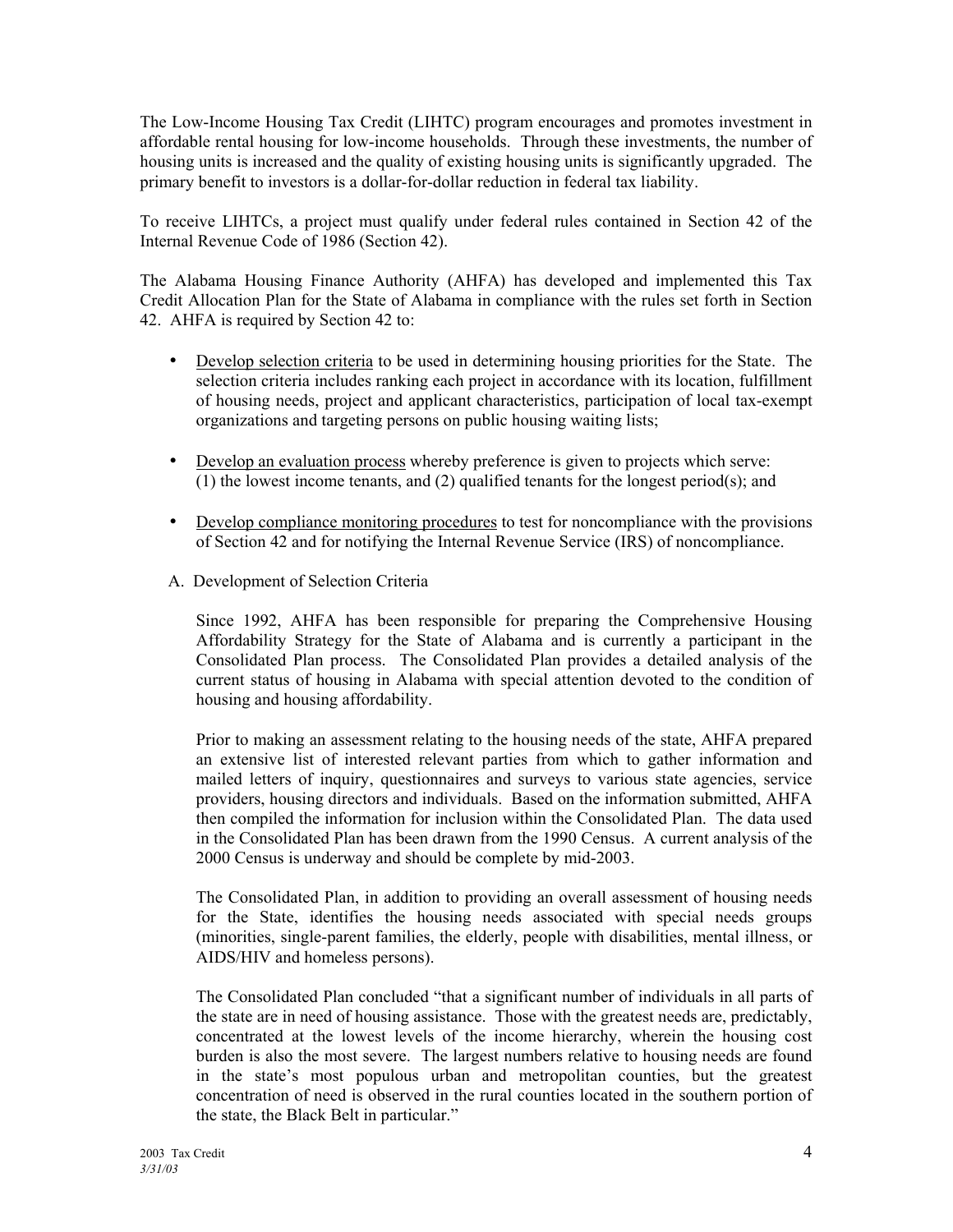The Low-Income Housing Tax Credit (LIHTC) program encourages and promotes investment in affordable rental housing for low-income households. Through these investments, the number of housing units is increased and the quality of existing housing units is significantly upgraded. The primary benefit to investors is a dollar-for-dollar reduction in federal tax liability.

To receive LIHTCs, a project must qualify under federal rules contained in Section 42 of the Internal Revenue Code of 1986 (Section 42).

The Alabama Housing Finance Authority (AHFA) has developed and implemented this Tax Credit Allocation Plan for the State of Alabama in compliance with the rules set forth in Section 42. AHFA is required by Section 42 to:

- Develop selection criteria to be used in determining housing priorities for the State. The selection criteria includes ranking each project in accordance with its location, fulfillment of housing needs, project and applicant characteristics, participation of local tax-exempt organizations and targeting persons on public housing waiting lists;
- Develop an evaluation process whereby preference is given to projects which serve: (1) the lowest income tenants, and (2) qualified tenants for the longest period(s); and
- Develop compliance monitoring procedures to test for noncompliance with the provisions of Section 42 and for notifying the Internal Revenue Service (IRS) of noncompliance.
- A. Development of Selection Criteria

Since 1992, AHFA has been responsible for preparing the Comprehensive Housing Affordability Strategy for the State of Alabama and is currently a participant in the Consolidated Plan process. The Consolidated Plan provides a detailed analysis of the current status of housing in Alabama with special attention devoted to the condition of housing and housing affordability.

Prior to making an assessment relating to the housing needs of the state, AHFA prepared an extensive list of interested relevant parties from which to gather information and mailed letters of inquiry, questionnaires and surveys to various state agencies, service providers, housing directors and individuals. Based on the information submitted, AHFA then compiled the information for inclusion within the Consolidated Plan. The data used in the Consolidated Plan has been drawn from the 1990 Census. A current analysis of the 2000 Census is underway and should be complete by mid-2003.

The Consolidated Plan, in addition to providing an overall assessment of housing needs for the State, identifies the housing needs associated with special needs groups (minorities, single-parent families, the elderly, people with disabilities, mental illness, or AIDS/HIV and homeless persons).

The Consolidated Plan concluded "that a significant number of individuals in all parts of the state are in need of housing assistance. Those with the greatest needs are, predictably, concentrated at the lowest levels of the income hierarchy, wherein the housing cost burden is also the most severe. The largest numbers relative to housing needs are found in the state's most populous urban and metropolitan counties, but the greatest concentration of need is observed in the rural counties located in the southern portion of the state, the Black Belt in particular."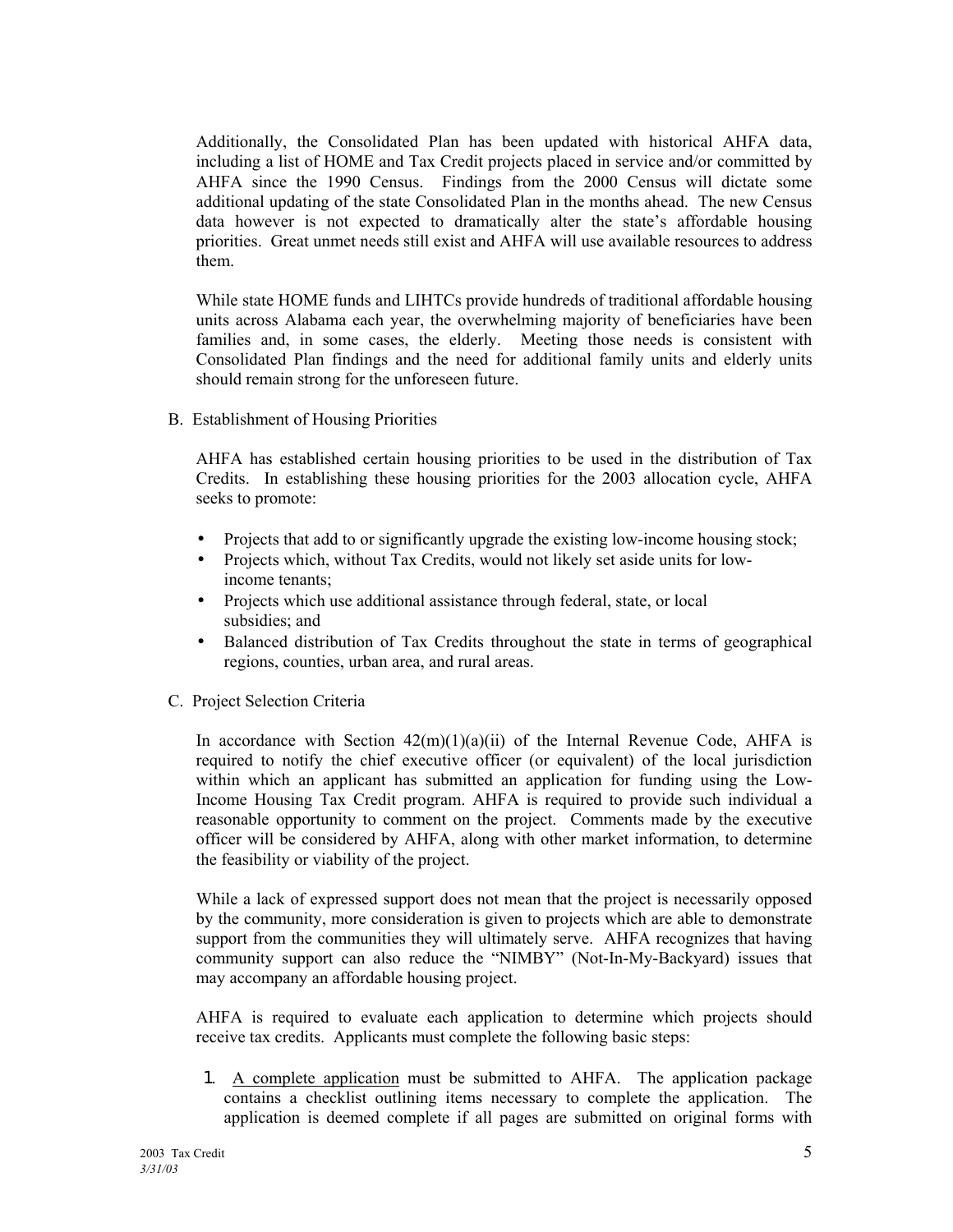Additionally, the Consolidated Plan has been updated with historical AHFA data, including a list of HOME and Tax Credit projects placed in service and/or committed by AHFA since the 1990 Census. Findings from the 2000 Census will dictate some additional updating of the state Consolidated Plan in the months ahead. The new Census data however is not expected to dramatically alter the state's affordable housing priorities. Great unmet needs still exist and AHFA will use available resources to address them.

While state HOME funds and LIHTCs provide hundreds of traditional affordable housing units across Alabama each year, the overwhelming majority of beneficiaries have been families and, in some cases, the elderly. Meeting those needs is consistent with Consolidated Plan findings and the need for additional family units and elderly units should remain strong for the unforeseen future.

B. Establishment of Housing Priorities

AHFA has established certain housing priorities to be used in the distribution of Tax Credits. In establishing these housing priorities for the 2003 allocation cycle, AHFA seeks to promote:

- Projects that add to or significantly upgrade the existing low-income housing stock;
- Projects which, without Tax Credits, would not likely set aside units for lowincome tenants;
- Projects which use additional assistance through federal, state, or local subsidies; and
- Balanced distribution of Tax Credits throughout the state in terms of geographical regions, counties, urban area, and rural areas.
- C. Project Selection Criteria

In accordance with Section  $42(m)(1)(a)(ii)$  of the Internal Revenue Code, AHFA is required to notify the chief executive officer (or equivalent) of the local jurisdiction within which an applicant has submitted an application for funding using the Low-Income Housing Tax Credit program. AHFA is required to provide such individual a reasonable opportunity to comment on the project. Comments made by the executive officer will be considered by AHFA, along with other market information, to determine the feasibility or viability of the project.

 While a lack of expressed support does not mean that the project is necessarily opposed by the community, more consideration is given to projects which are able to demonstrate support from the communities they will ultimately serve. AHFA recognizes that having community support can also reduce the "NIMBY" (Not-In-My-Backyard) issues that may accompany an affordable housing project.

AHFA is required to evaluate each application to determine which projects should receive tax credits. Applicants must complete the following basic steps:

1. A complete application must be submitted to AHFA. The application package contains a checklist outlining items necessary to complete the application. The application is deemed complete if all pages are submitted on original forms with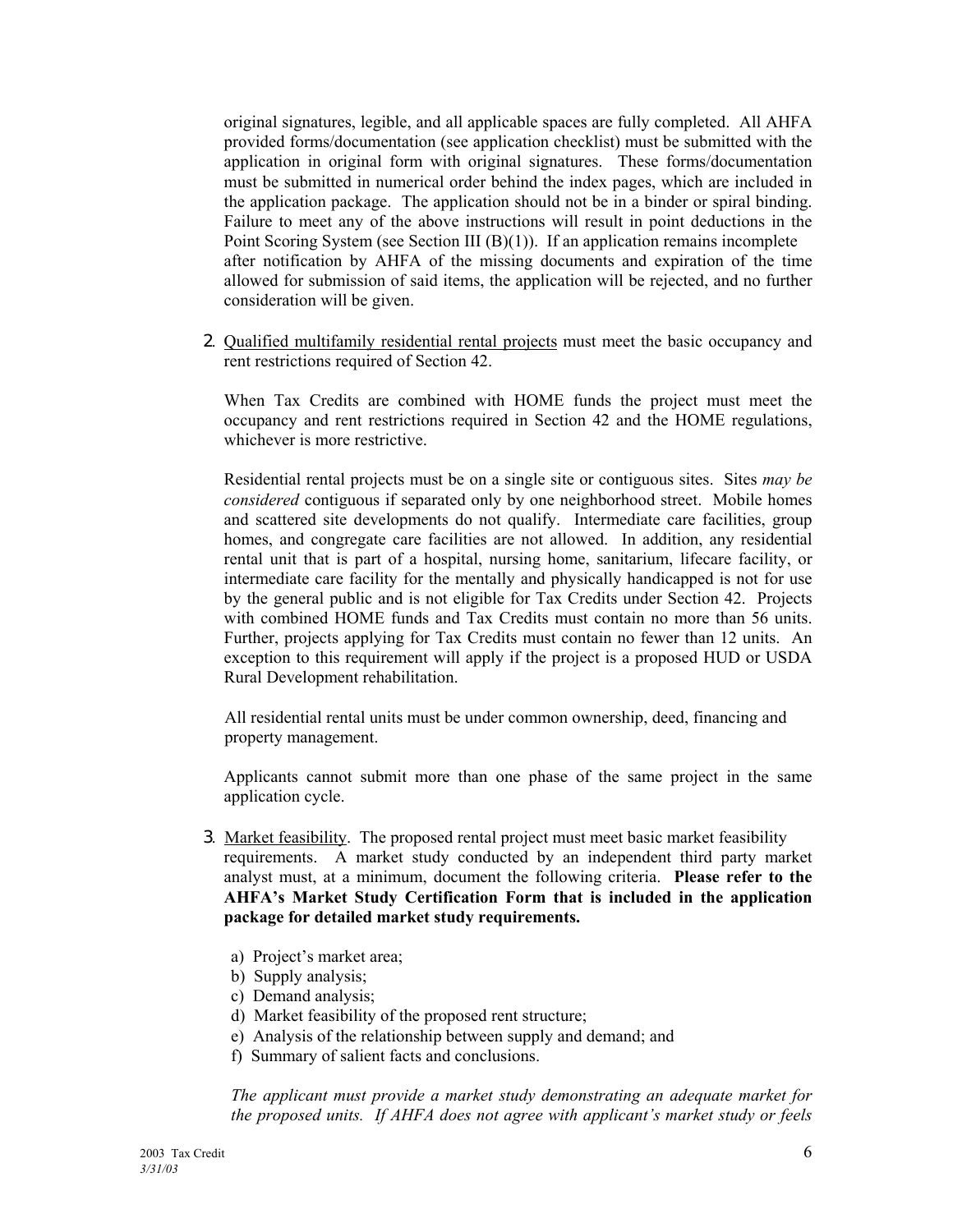original signatures, legible, and all applicable spaces are fully completed. All AHFA provided forms/documentation (see application checklist) must be submitted with the application in original form with original signatures. These forms/documentation must be submitted in numerical order behind the index pages, which are included in the application package. The application should not be in a binder or spiral binding. Failure to meet any of the above instructions will result in point deductions in the Point Scoring System (see Section III (B)(1)). If an application remains incomplete after notification by AHFA of the missing documents and expiration of the time allowed for submission of said items, the application will be rejected, and no further consideration will be given.

2. Qualified multifamily residential rental projects must meet the basic occupancy and rent restrictions required of Section 42.

When Tax Credits are combined with HOME funds the project must meet the occupancy and rent restrictions required in Section 42 and the HOME regulations, whichever is more restrictive.

Residential rental projects must be on a single site or contiguous sites. Sites *may be considered* contiguous if separated only by one neighborhood street. Mobile homes and scattered site developments do not qualify. Intermediate care facilities, group homes, and congregate care facilities are not allowed. In addition, any residential rental unit that is part of a hospital, nursing home, sanitarium, lifecare facility, or intermediate care facility for the mentally and physically handicapped is not for use by the general public and is not eligible for Tax Credits under Section 42. Projects with combined HOME funds and Tax Credits must contain no more than 56 units. Further, projects applying for Tax Credits must contain no fewer than 12 units. An exception to this requirement will apply if the project is a proposed HUD or USDA Rural Development rehabilitation.

 All residential rental units must be under common ownership, deed, financing and property management.

Applicants cannot submit more than one phase of the same project in the same application cycle.

- 3. Market feasibility. The proposed rental project must meet basic market feasibility requirements. A market study conducted by an independent third party market analyst must, at a minimum, document the following criteria. **Please refer to the AHFAís Market Study Certification Form that is included in the application package for detailed market study requirements.**
	- a) Project's market area;
	- b) Supply analysis;
	- c) Demand analysis;
	- d) Market feasibility of the proposed rent structure;
	- e) Analysis of the relationship between supply and demand; and
	- f) Summary of salient facts and conclusions.

*The applicant must provide a market study demonstrating an adequate market for the proposed units. If AHFA does not agree with applicant's market study or feels*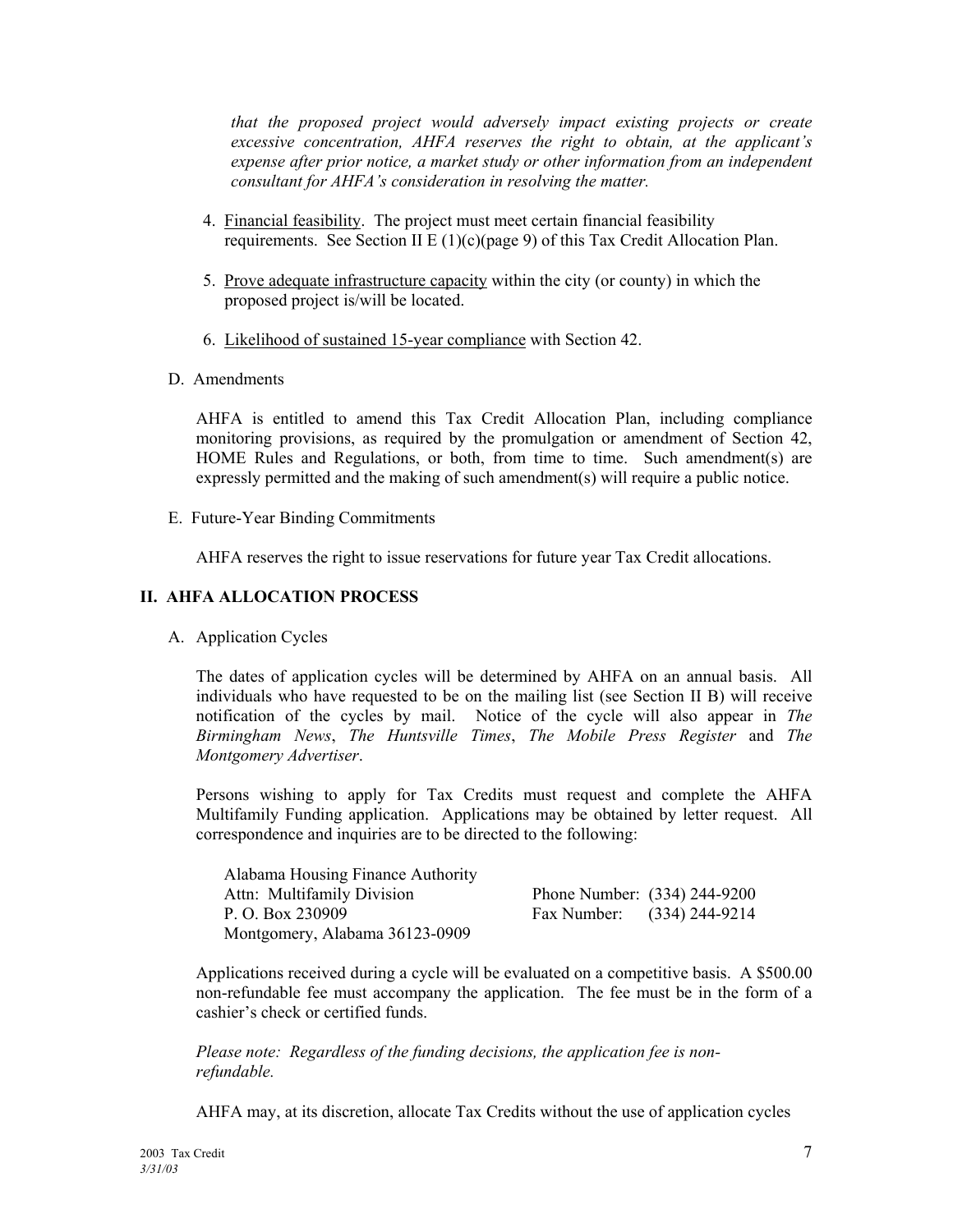*that the proposed project would adversely impact existing projects or create excessive concentration, AHFA reserves the right to obtain, at the applicant's expense after prior notice, a market study or other information from an independent consultant for AHFAís consideration in resolving the matter.* 

- 4. Financial feasibility. The project must meet certain financial feasibility requirements. See Section II E (1)(c)(page 9) of this Tax Credit Allocation Plan.
- 5. Prove adequate infrastructure capacity within the city (or county) in which the proposed project is/will be located.
- 6. Likelihood of sustained 15-year compliance with Section 42.
- D. Amendments

AHFA is entitled to amend this Tax Credit Allocation Plan, including compliance monitoring provisions, as required by the promulgation or amendment of Section 42, HOME Rules and Regulations, or both, from time to time. Such amendment(s) are expressly permitted and the making of such amendment(s) will require a public notice.

E. Future-Year Binding Commitments

AHFA reserves the right to issue reservations for future year Tax Credit allocations.

#### **II. AHFA ALLOCATION PROCESS**

A. Application Cycles

The dates of application cycles will be determined by AHFA on an annual basis. All individuals who have requested to be on the mailing list (see Section II B) will receive notification of the cycles by mail. Notice of the cycle will also appear in *The Birmingham News*, *The Huntsville Times*, *The Mobile Press Register* and *The Montgomery Advertiser*.

Persons wishing to apply for Tax Credits must request and complete the AHFA Multifamily Funding application. Applications may be obtained by letter request. All correspondence and inquiries are to be directed to the following:

| Alabama Housing Finance Authority |                              |                            |
|-----------------------------------|------------------------------|----------------------------|
| Attn: Multifamily Division        | Phone Number: (334) 244-9200 |                            |
| P. O. Box 230909                  |                              | Fax Number: (334) 244-9214 |
| Montgomery, Alabama 36123-0909    |                              |                            |

Applications received during a cycle will be evaluated on a competitive basis. A \$500.00 non-refundable fee must accompany the application. The fee must be in the form of a cashier's check or certified funds.

 *Please note: Regardless of the funding decisions, the application fee is non refundable.* 

AHFA may, at its discretion, allocate Tax Credits without the use of application cycles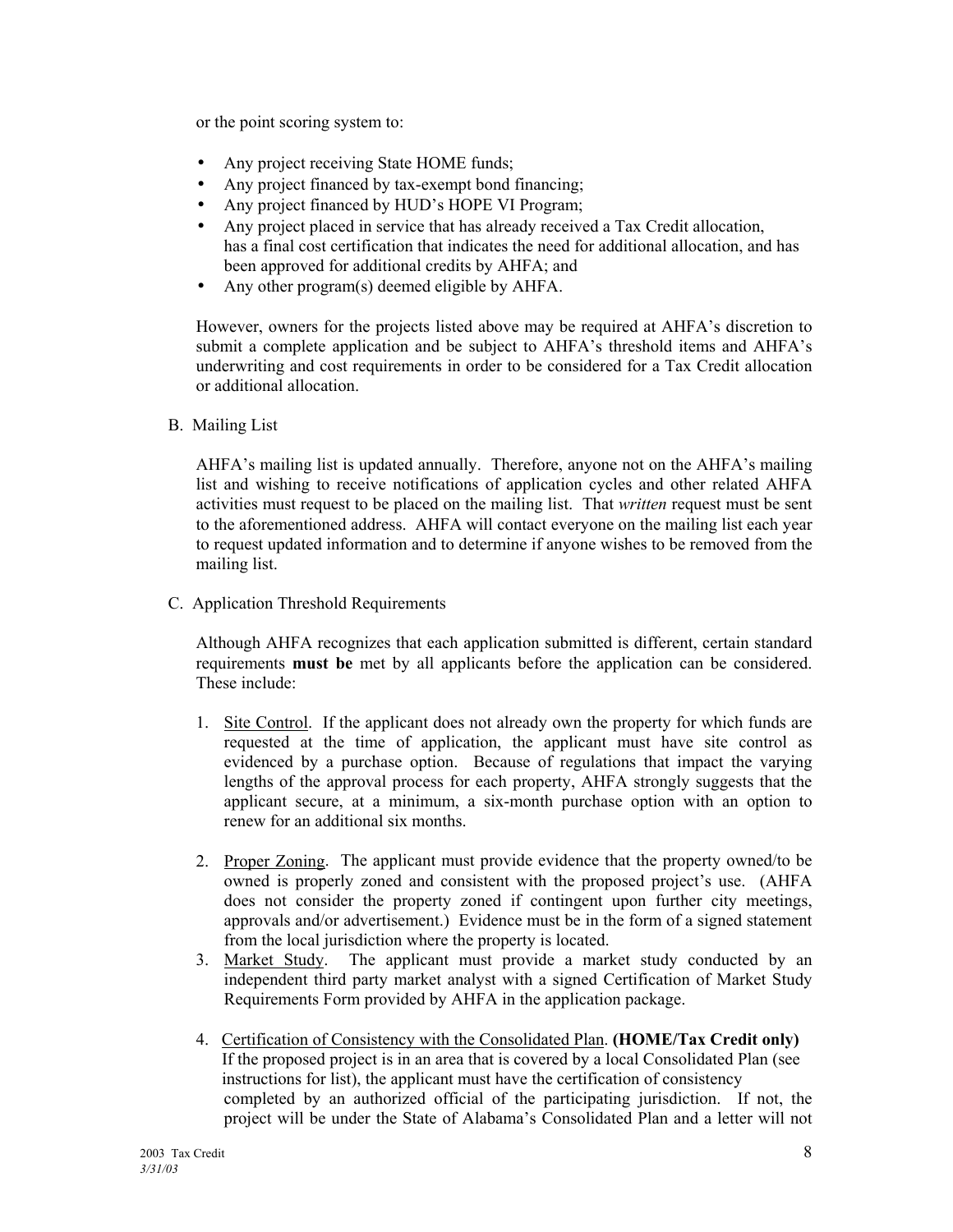or the point scoring system to:

- Any project receiving State HOME funds;
- Any project financed by tax-exempt bond financing;
- Any project financed by HUD's HOPE VI Program;
- Any project placed in service that has already received a Tax Credit allocation, has a final cost certification that indicates the need for additional allocation, and has been approved for additional credits by AHFA; and
- Any other program(s) deemed eligible by AHFA.

However, owners for the projects listed above may be required at AHFA's discretion to submit a complete application and be subject to AHFA's threshold items and AHFA's underwriting and cost requirements in order to be considered for a Tax Credit allocation or additional allocation.

B. Mailing List

AHFA's mailing list is updated annually. Therefore, anyone not on the AHFA's mailing list and wishing to receive notifications of application cycles and other related AHFA activities must request to be placed on the mailing list. That *written* request must be sent to the aforementioned address. AHFA will contact everyone on the mailing list each year to request updated information and to determine if anyone wishes to be removed from the mailing list.

C. Application Threshold Requirements

Although AHFA recognizes that each application submitted is different, certain standard requirements **must be** met by all applicants before the application can be considered. These include:

- 1. Site Control. If the applicant does not already own the property for which funds are requested at the time of application, the applicant must have site control as evidenced by a purchase option. Because of regulations that impact the varying lengths of the approval process for each property, AHFA strongly suggests that the applicant secure, at a minimum, a six-month purchase option with an option to renew for an additional six months.
- 2. Proper Zoning. The applicant must provide evidence that the property owned/to be owned is properly zoned and consistent with the proposed project's use. (AHFA does not consider the property zoned if contingent upon further city meetings, approvals and/or advertisement.) Evidence must be in the form of a signed statement from the local jurisdiction where the property is located.
- 3. Market Study. The applicant must provide a market study conducted by an independent third party market analyst with a signed Certification of Market Study Requirements Form provided by AHFA in the application package.
- 4. Certification of Consistency with the Consolidated Plan. **(HOME/Tax Credit only)**  If the proposed project is in an area that is covered by a local Consolidated Plan (see instructions for list), the applicant must have the certification of consistency completed by an authorized official of the participating jurisdiction. If not, the project will be under the State of Alabamaís Consolidated Plan and a letter will not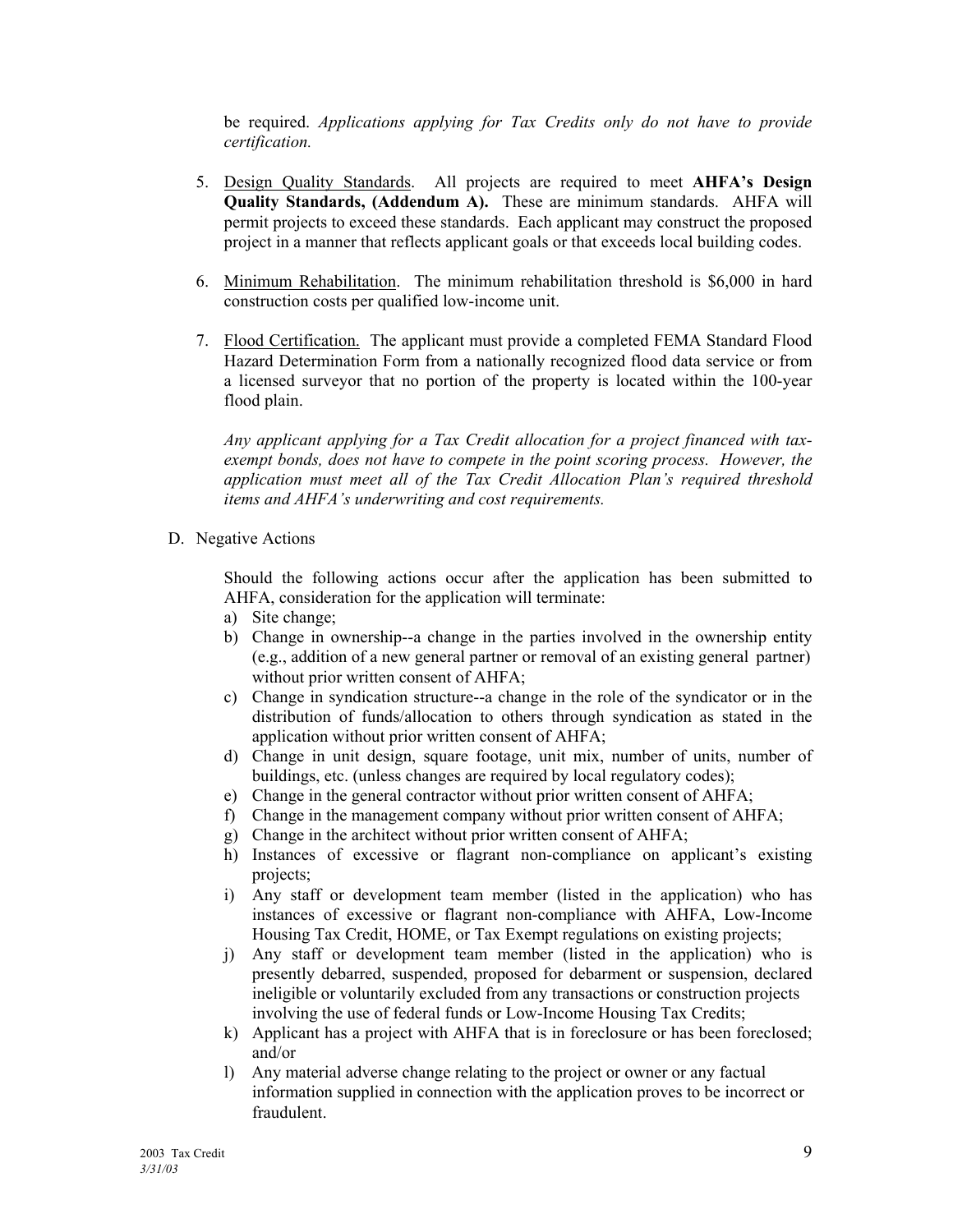be required. *Applications applying for Tax Credits only do not have to provide certification.* 

- 5. Design Quality Standards. All projects are required to meet **AHFAís Design Quality Standards, (Addendum A).** These are minimum standards. AHFA will permit projects to exceed these standards. Each applicant may construct the proposed project in a manner that reflects applicant goals or that exceeds local building codes.
- 6. Minimum Rehabilitation. The minimum rehabilitation threshold is \$6,000 in hard construction costs per qualified low-income unit.
- 7. Flood Certification. The applicant must provide a completed FEMA Standard Flood Hazard Determination Form from a nationally recognized flood data service or from a licensed surveyor that no portion of the property is located within the 100-year flood plain.

*Any applicant applying for a Tax Credit allocation for a project financed with taxexempt bonds, does not have to compete in the point scoring process. However, the application must meet all of the Tax Credit Allocation Planís required threshold items and AHFAís underwriting and cost requirements.* 

D. Negative Actions

 Should the following actions occur after the application has been submitted to AHFA, consideration for the application will terminate:

- a) Site change;
- b) Change in ownership--a change in the parties involved in the ownership entity (e.g., addition of a new general partner or removal of an existing general partner) without prior written consent of AHFA;
- c) Change in syndication structure--a change in the role of the syndicator or in the distribution of funds/allocation to others through syndication as stated in the application without prior written consent of AHFA;
- d) Change in unit design, square footage, unit mix, number of units, number of buildings, etc. (unless changes are required by local regulatory codes);
- e) Change in the general contractor without prior written consent of AHFA;
- f) Change in the management company without prior written consent of AHFA;
- g) Change in the architect without prior written consent of AHFA;
- h) Instances of excessive or flagrant non-compliance on applicant's existing projects;
- i) Any staff or development team member (listed in the application) who has instances of excessive or flagrant non-compliance with AHFA, Low-Income Housing Tax Credit, HOME, or Tax Exempt regulations on existing projects;
- j) Any staff or development team member (listed in the application) who is presently debarred, suspended, proposed for debarment or suspension, declared ineligible or voluntarily excluded from any transactions or construction projects involving the use of federal funds or Low-Income Housing Tax Credits;
- k) Applicant has a project with AHFA that is in foreclosure or has been foreclosed; and/or
- l) Any material adverse change relating to the project or owner or any factual information supplied in connection with the application proves to be incorrect or fraudulent.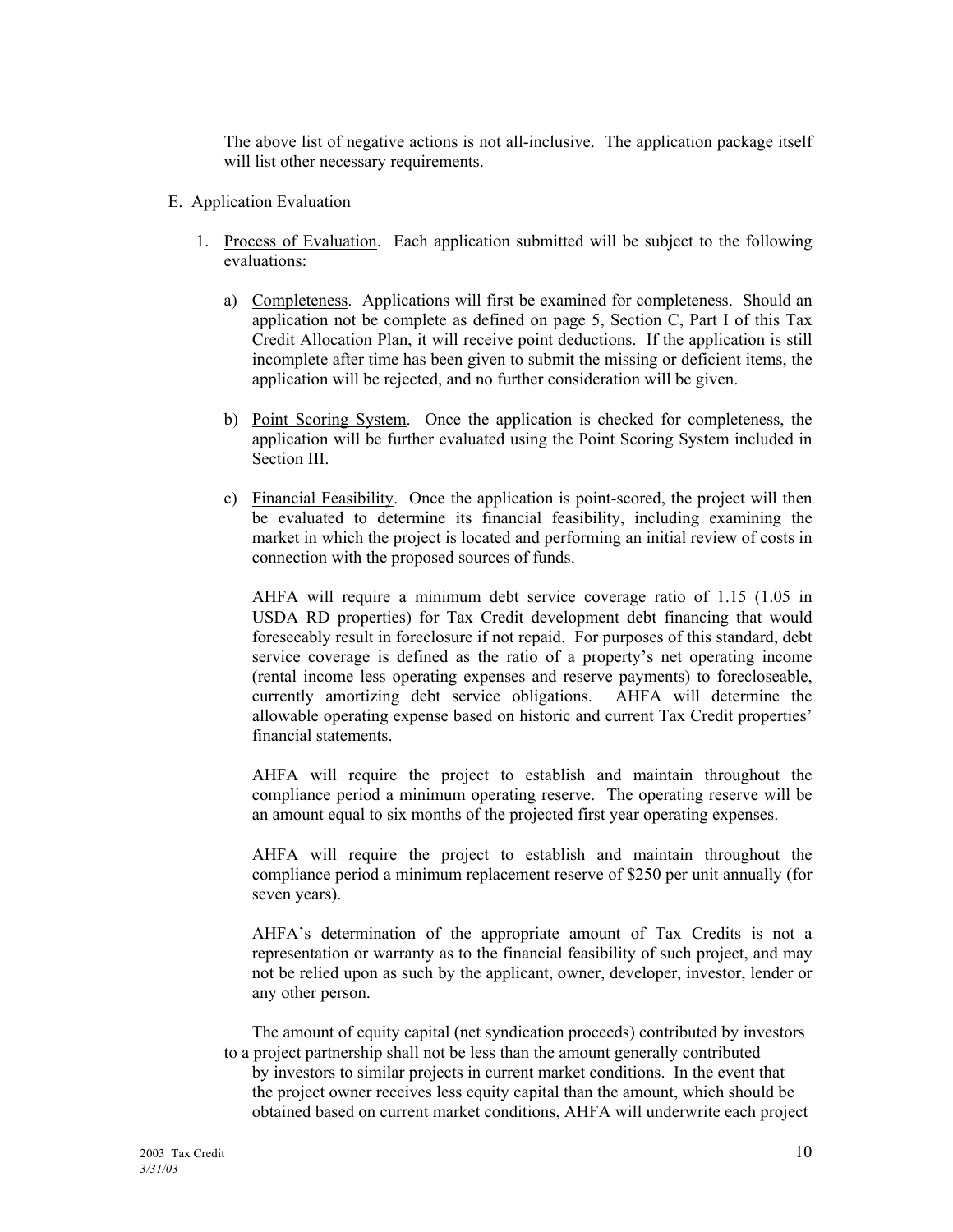The above list of negative actions is not all-inclusive. The application package itself will list other necessary requirements.

- E. Application Evaluation
	- 1. Process of Evaluation. Each application submitted will be subject to the following evaluations:
		- a) Completeness. Applications will first be examined for completeness. Should an application not be complete as defined on page 5, Section C, Part I of this Tax Credit Allocation Plan, it will receive point deductions. If the application is still incomplete after time has been given to submit the missing or deficient items, the application will be rejected, and no further consideration will be given.
		- b) Point Scoring System. Once the application is checked for completeness, the application will be further evaluated using the Point Scoring System included in Section III.
		- c) Financial Feasibility. Once the application is point-scored, the project will then be evaluated to determine its financial feasibility, including examining the market in which the project is located and performing an initial review of costs in connection with the proposed sources of funds.

AHFA will require a minimum debt service coverage ratio of 1.15 (1.05 in USDA RD properties) for Tax Credit development debt financing that would foreseeably result in foreclosure if not repaid. For purposes of this standard, debt service coverage is defined as the ratio of a property's net operating income (rental income less operating expenses and reserve payments) to forecloseable, currently amortizing debt service obligations. AHFA will determine the allowable operating expense based on historic and current Tax Credit properties<sup>7</sup> financial statements.

AHFA will require the project to establish and maintain throughout the compliance period a minimum operating reserve. The operating reserve will be an amount equal to six months of the projected first year operating expenses.

AHFA will require the project to establish and maintain throughout the compliance period a minimum replacement reserve of \$250 per unit annually (for seven years).

AHFA's determination of the appropriate amount of Tax Credits is not a representation or warranty as to the financial feasibility of such project, and may not be relied upon as such by the applicant, owner, developer, investor, lender or any other person.

 The amount of equity capital (net syndication proceeds) contributed by investors to a project partnership shall not be less than the amount generally contributed by investors to similar projects in current market conditions. In the event that the project owner receives less equity capital than the amount, which should be obtained based on current market conditions, AHFA will underwrite each project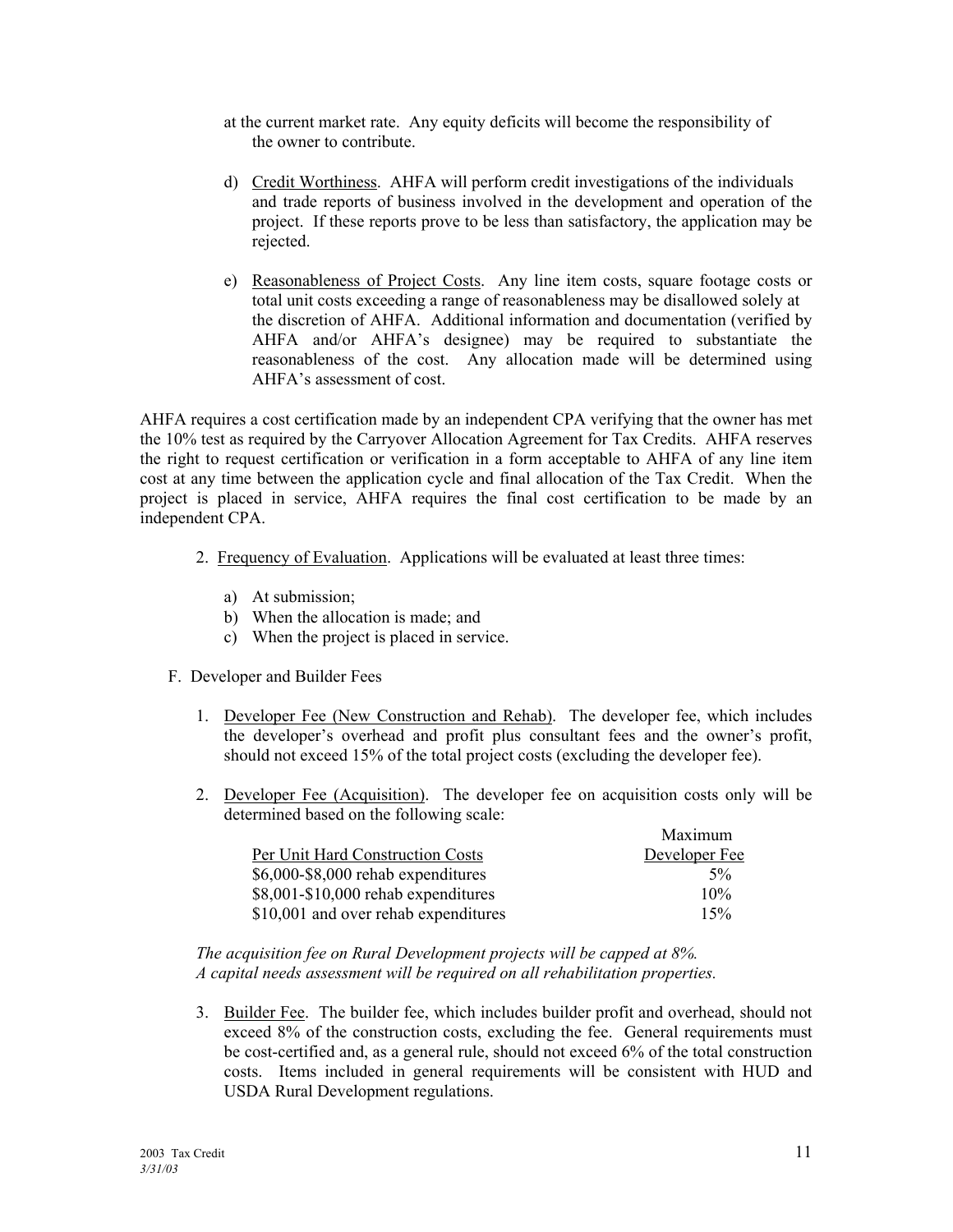- at the current market rate. Any equity deficits will become the responsibility of the owner to contribute.
- d) Credit Worthiness. AHFA will perform credit investigations of the individuals and trade reports of business involved in the development and operation of the project. If these reports prove to be less than satisfactory, the application may be rejected.
- e) Reasonableness of Project Costs. Any line item costs, square footage costs or total unit costs exceeding a range of reasonableness may be disallowed solely at the discretion of AHFA. Additional information and documentation (verified by AHFA and/or AHFA's designee) may be required to substantiate the reasonableness of the cost. Any allocation made will be determined using AHFA's assessment of cost.

AHFA requires a cost certification made by an independent CPA verifying that the owner has met the 10% test as required by the Carryover Allocation Agreement for Tax Credits. AHFA reserves the right to request certification or verification in a form acceptable to AHFA of any line item cost at any time between the application cycle and final allocation of the Tax Credit. When the project is placed in service, AHFA requires the final cost certification to be made by an independent CPA.

- 2. Frequency of Evaluation. Applications will be evaluated at least three times:
	- a) At submission;
	- b) When the allocation is made; and
	- c) When the project is placed in service.
- F. Developer and Builder Fees
	- 1. Developer Fee (New Construction and Rehab). The developer fee, which includes the developer's overhead and profit plus consultant fees and the owner's profit, should not exceed 15% of the total project costs (excluding the developer fee).
	- 2. Developer Fee (Acquisition). The developer fee on acquisition costs only will be determined based on the following scale:

|                                      | Maximum       |
|--------------------------------------|---------------|
| Per Unit Hard Construction Costs     | Developer Fee |
| \$6,000-\$8,000 rehab expenditures   | $5\%$         |
| \$8,001-\$10,000 rehab expenditures  | 10%           |
| \$10,001 and over rehab expenditures | 15%           |

*The acquisition fee on Rural Development projects will be capped at 8%. A capital needs assessment will be required on all rehabilitation properties.* 

3. Builder Fee. The builder fee, which includes builder profit and overhead, should not exceed 8% of the construction costs, excluding the fee. General requirements must be cost-certified and, as a general rule, should not exceed 6% of the total construction costs. Items included in general requirements will be consistent with HUD and USDA Rural Development regulations.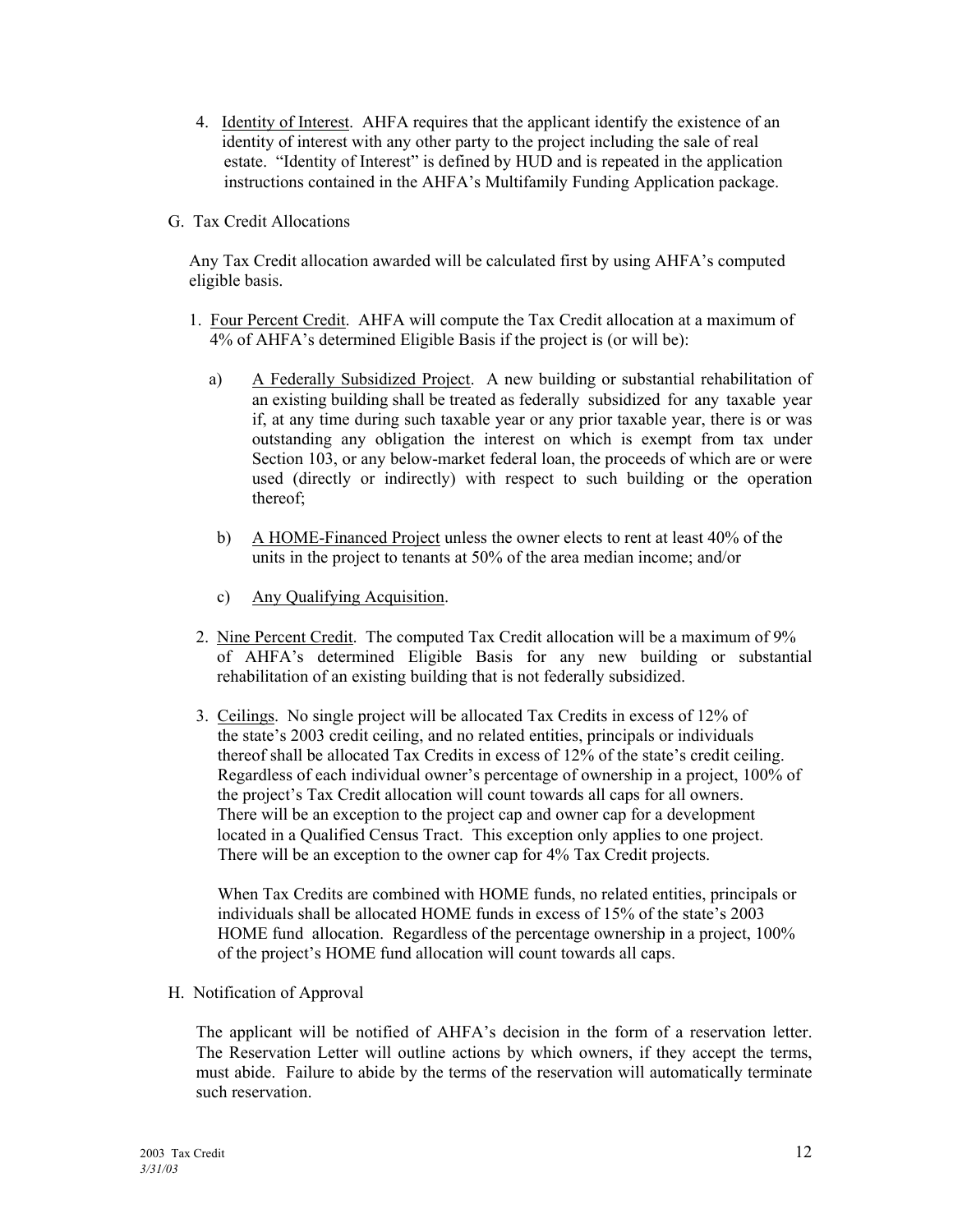- 4. Identity of Interest. AHFA requires that the applicant identify the existence of an identity of interest with any other party to the project including the sale of real estate. "Identity of Interest" is defined by HUD and is repeated in the application instructions contained in the AHFA's Multifamily Funding Application package.
- G. Tax Credit Allocations

Any Tax Credit allocation awarded will be calculated first by using AHFA's computed eligible basis.

- 1. Four Percent Credit. AHFA will compute the Tax Credit allocation at a maximum of 4% of AHFAís determined Eligible Basis if the project is (or will be):
	- a) A Federally Subsidized Project. A new building or substantial rehabilitation of an existing building shall be treated as federally subsidized for any taxable year if, at any time during such taxable year or any prior taxable year, there is or was outstanding any obligation the interest on which is exempt from tax under Section 103, or any below-market federal loan, the proceeds of which are or were used (directly or indirectly) with respect to such building or the operation thereof;
	- b) A HOME-Financed Project unless the owner elects to rent at least 40% of the units in the project to tenants at 50% of the area median income; and/or
	- c) Any Qualifying Acquisition.
- 2. Nine Percent Credit. The computed Tax Credit allocation will be a maximum of 9% of AHFAís determined Eligible Basis for any new building or substantial rehabilitation of an existing building that is not federally subsidized.
- 3. Ceilings. No single project will be allocated Tax Credits in excess of 12% of the state's 2003 credit ceiling, and no related entities, principals or individuals thereof shall be allocated Tax Credits in excess of  $12\%$  of the state's credit ceiling. Regardless of each individual owner's percentage of ownership in a project, 100% of the project's Tax Credit allocation will count towards all caps for all owners. There will be an exception to the project cap and owner cap for a development located in a Qualified Census Tract. This exception only applies to one project. There will be an exception to the owner cap for 4% Tax Credit projects.

 When Tax Credits are combined with HOME funds, no related entities, principals or individuals shall be allocated HOME funds in excess of 15% of the state's 2003 HOME fund allocation. Regardless of the percentage ownership in a project, 100% of the project's HOME fund allocation will count towards all caps.

H. Notification of Approval

The applicant will be notified of AHFA's decision in the form of a reservation letter. The Reservation Letter will outline actions by which owners, if they accept the terms, must abide. Failure to abide by the terms of the reservation will automatically terminate such reservation.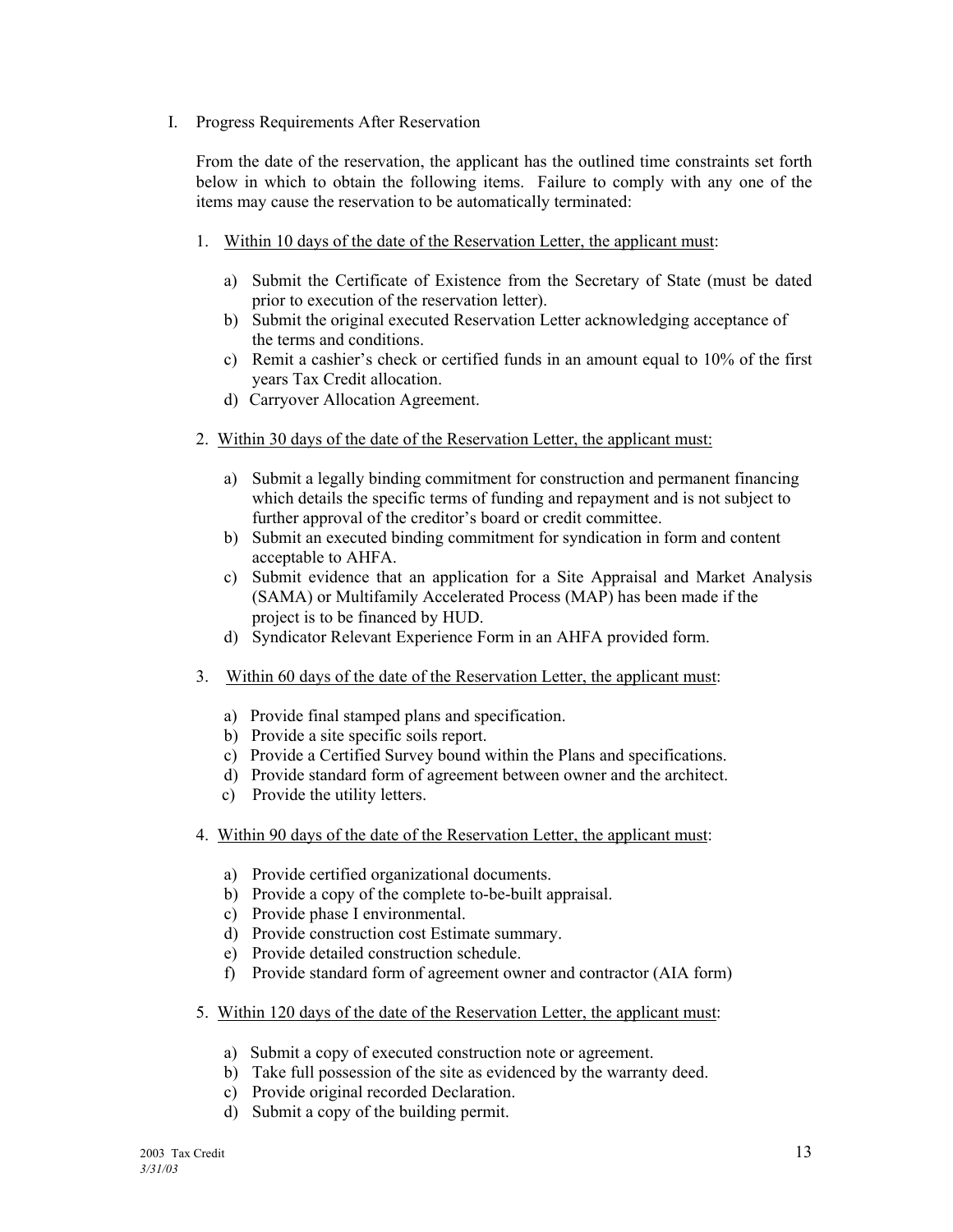I. Progress Requirements After Reservation

From the date of the reservation, the applicant has the outlined time constraints set forth below in which to obtain the following items. Failure to comply with any one of the items may cause the reservation to be automatically terminated:

- 1. Within 10 days of the date of the Reservation Letter, the applicant must:
	- a) Submit the Certificate of Existence from the Secretary of State (must be dated prior to execution of the reservation letter).
	- b) Submit the original executed Reservation Letter acknowledging acceptance of the terms and conditions.
	- c) Remit a cashier's check or certified funds in an amount equal to  $10\%$  of the first years Tax Credit allocation.
	- d) Carryover Allocation Agreement.
- 2. Within 30 days of the date of the Reservation Letter, the applicant must:
	- a) Submit a legally binding commitment for construction and permanent financing which details the specific terms of funding and repayment and is not subject to further approval of the creditor's board or credit committee.
	- b) Submit an executed binding commitment for syndication in form and content acceptable to AHFA.
	- c) Submit evidence that an application for a Site Appraisal and Market Analysis (SAMA) or Multifamily Accelerated Process (MAP) has been made if the project is to be financed by HUD.
	- d) Syndicator Relevant Experience Form in an AHFA provided form.
- 3. Within 60 days of the date of the Reservation Letter, the applicant must:
	- a) Provide final stamped plans and specification.
	- b) Provide a site specific soils report.
	- c) Provide a Certified Survey bound within the Plans and specifications.
	- d) Provide standard form of agreement between owner and the architect.
	- c) Provide the utility letters.
- 4. Within 90 days of the date of the Reservation Letter, the applicant must:
	- a) Provide certified organizational documents.
	- b) Provide a copy of the complete to-be-built appraisal.
	- c) Provide phase I environmental.
	- d) Provide construction cost Estimate summary.
	- e) Provide detailed construction schedule.
	- f) Provide standard form of agreement owner and contractor (AIA form)
- 5. Within 120 days of the date of the Reservation Letter, the applicant must:
	- a) Submit a copy of executed construction note or agreement.
	- b) Take full possession of the site as evidenced by the warranty deed.
	- c) Provide original recorded Declaration.
	- d) Submit a copy of the building permit.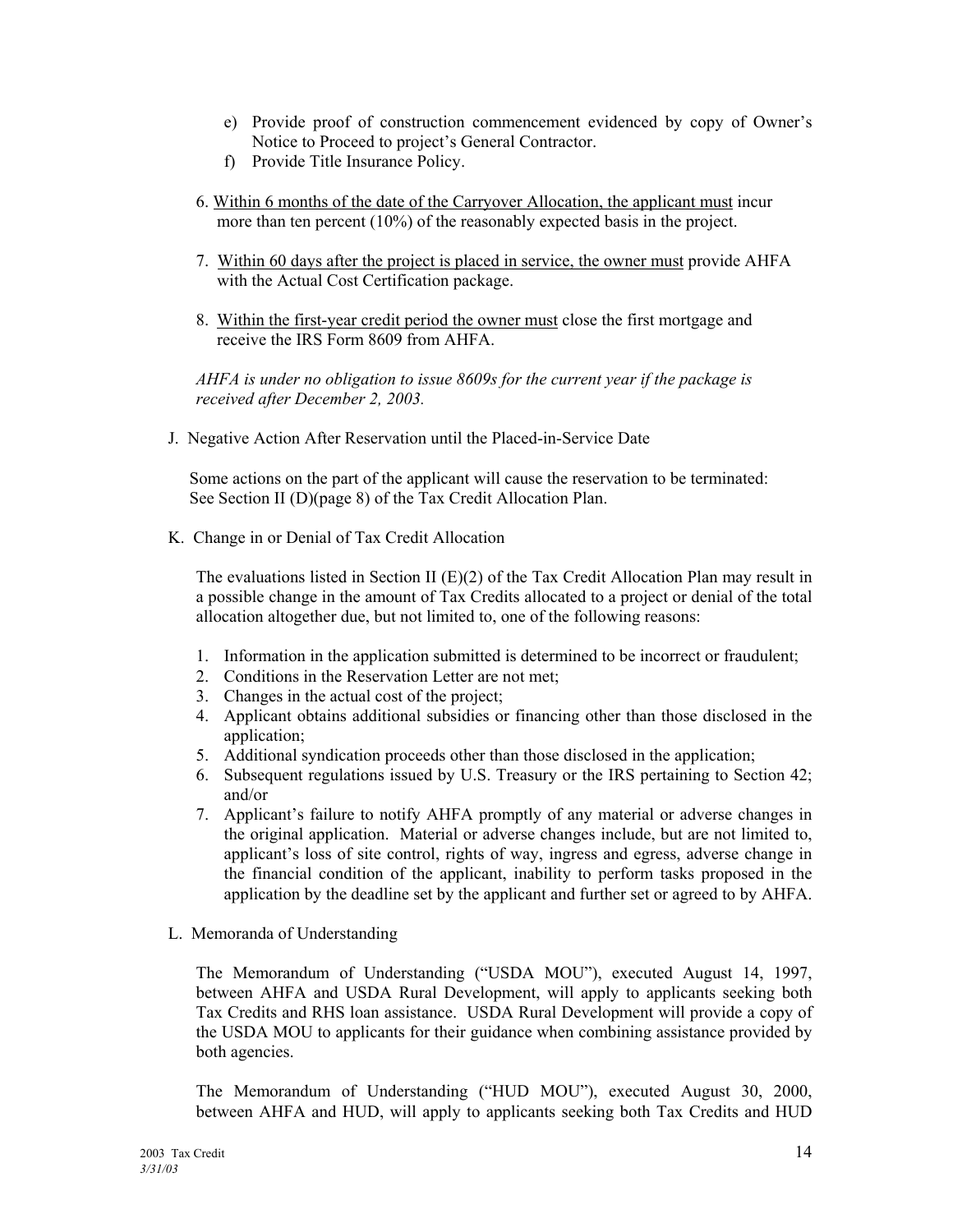- e) Provide proof of construction commencement evidenced by copy of Ownerís Notice to Proceed to project's General Contractor.
- f) Provide Title Insurance Policy.
- 6. Within 6 months of the date of the Carryover Allocation, the applicant must incur more than ten percent (10%) of the reasonably expected basis in the project.
- 7. Within 60 days after the project is placed in service, the owner must provide AHFA with the Actual Cost Certification package.
- 8. Within the first-year credit period the owner must close the first mortgage and receive the IRS Form 8609 from AHFA.

 *AHFA is under no obligation to issue 8609s for the current year if the package is received after December 2, 2003.* 

J. Negative Action After Reservation until the Placed-in-Service Date

 Some actions on the part of the applicant will cause the reservation to be terminated: See Section II (D)(page 8) of the Tax Credit Allocation Plan.

K. Change in or Denial of Tax Credit Allocation

The evaluations listed in Section II  $(E)(2)$  of the Tax Credit Allocation Plan may result in a possible change in the amount of Tax Credits allocated to a project or denial of the total allocation altogether due, but not limited to, one of the following reasons:

- 1. Information in the application submitted is determined to be incorrect or fraudulent;
- 2. Conditions in the Reservation Letter are not met;
- 3. Changes in the actual cost of the project;
- 4. Applicant obtains additional subsidies or financing other than those disclosed in the application;
- 5. Additional syndication proceeds other than those disclosed in the application;
- 6. Subsequent regulations issued by U.S. Treasury or the IRS pertaining to Section 42; and/or
- 7. Applicantís failure to notify AHFA promptly of any material or adverse changes in the original application. Material or adverse changes include, but are not limited to, applicant's loss of site control, rights of way, ingress and egress, adverse change in the financial condition of the applicant, inability to perform tasks proposed in the application by the deadline set by the applicant and further set or agreed to by AHFA.
- L. Memoranda of Understanding

The Memorandum of Understanding ("USDA MOU"), executed August 14, 1997, between AHFA and USDA Rural Development, will apply to applicants seeking both Tax Credits and RHS loan assistance. USDA Rural Development will provide a copy of the USDA MOU to applicants for their guidance when combining assistance provided by both agencies.

The Memorandum of Understanding ("HUD MOU"), executed August 30, 2000, between AHFA and HUD, will apply to applicants seeking both Tax Credits and HUD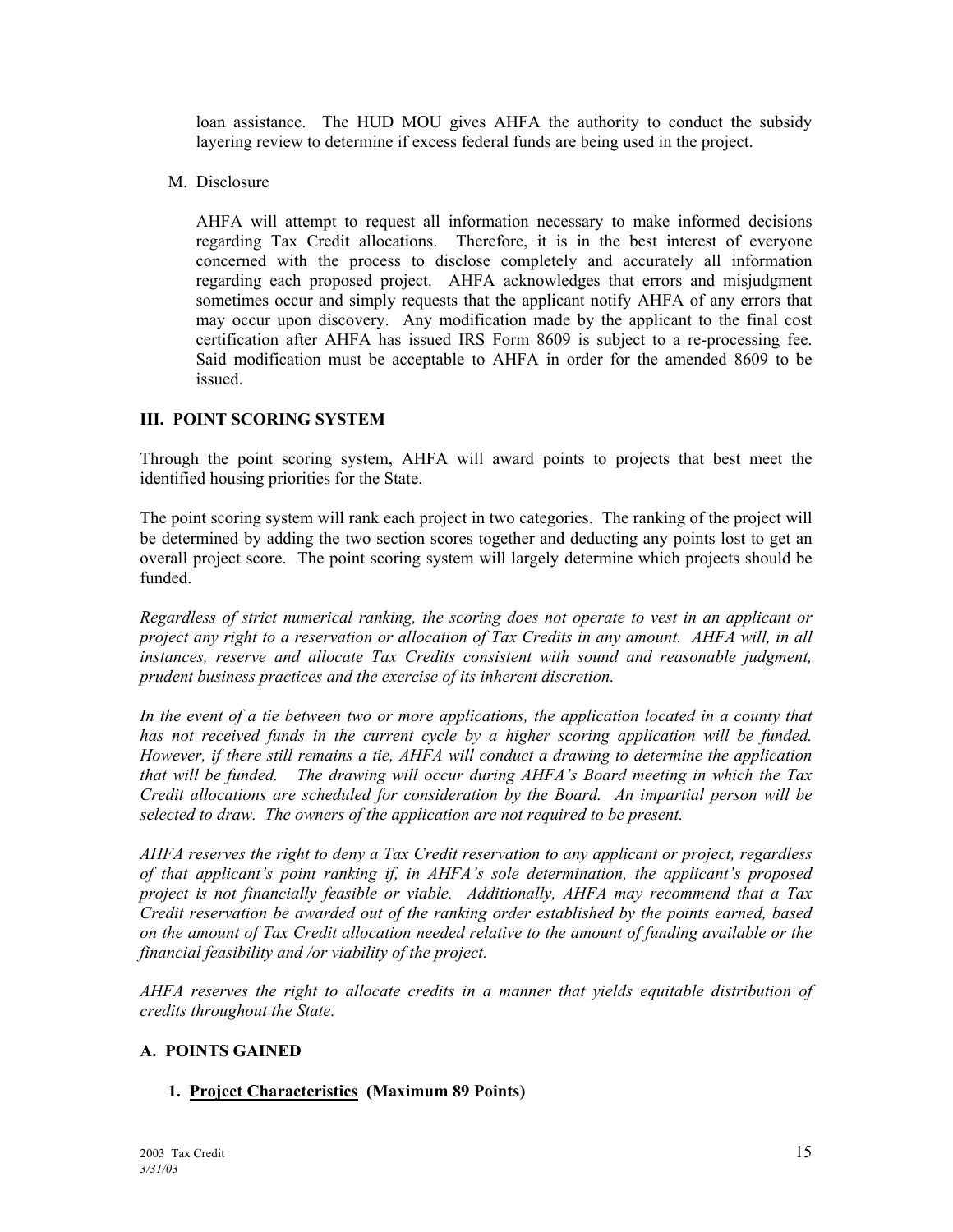loan assistance. The HUD MOU gives AHFA the authority to conduct the subsidy layering review to determine if excess federal funds are being used in the project.

M. Disclosure

AHFA will attempt to request all information necessary to make informed decisions regarding Tax Credit allocations. Therefore, it is in the best interest of everyone concerned with the process to disclose completely and accurately all information regarding each proposed project. AHFA acknowledges that errors and misjudgment sometimes occur and simply requests that the applicant notify AHFA of any errors that may occur upon discovery. Any modification made by the applicant to the final cost certification after AHFA has issued IRS Form 8609 is subject to a re-processing fee. Said modification must be acceptable to AHFA in order for the amended 8609 to be issued.

#### **III. POINT SCORING SYSTEM**

Through the point scoring system, AHFA will award points to projects that best meet the identified housing priorities for the State.

The point scoring system will rank each project in two categories. The ranking of the project will be determined by adding the two section scores together and deducting any points lost to get an overall project score. The point scoring system will largely determine which projects should be funded.

*Regardless of strict numerical ranking, the scoring does not operate to vest in an applicant or project any right to a reservation or allocation of Tax Credits in any amount. AHFA will, in all*  instances, reserve and allocate Tax Credits consistent with sound and reasonable judgment, *prudent business practices and the exercise of its inherent discretion.* 

In the event of a tie between two or more applications, the application located in a county that has not received funds in the current cycle by a higher scoring application will be funded. *However, if there still remains a tie, AHFA will conduct a drawing to determine the application that will be funded. The drawing will occur during AHFAís Board meeting in which the Tax Credit allocations are scheduled for consideration by the Board. An impartial person will be selected to draw. The owners of the application are not required to be present.* 

*AHFA reserves the right to deny a Tax Credit reservation to any applicant or project, regardless*  of that applicant's point ranking if, in AHFA's sole determination, the applicant's proposed *project is not financially feasible or viable. Additionally, AHFA may recommend that a Tax Credit reservation be awarded out of the ranking order established by the points earned, based on the amount of Tax Credit allocation needed relative to the amount of funding available or the financial feasibility and /or viability of the project.* 

*AHFA reserves the right to allocate credits in a manner that yields equitable distribution of credits throughout the State.* 

#### **A. POINTS GAINED**

#### **1. Project Characteristics (Maximum 89 Points)**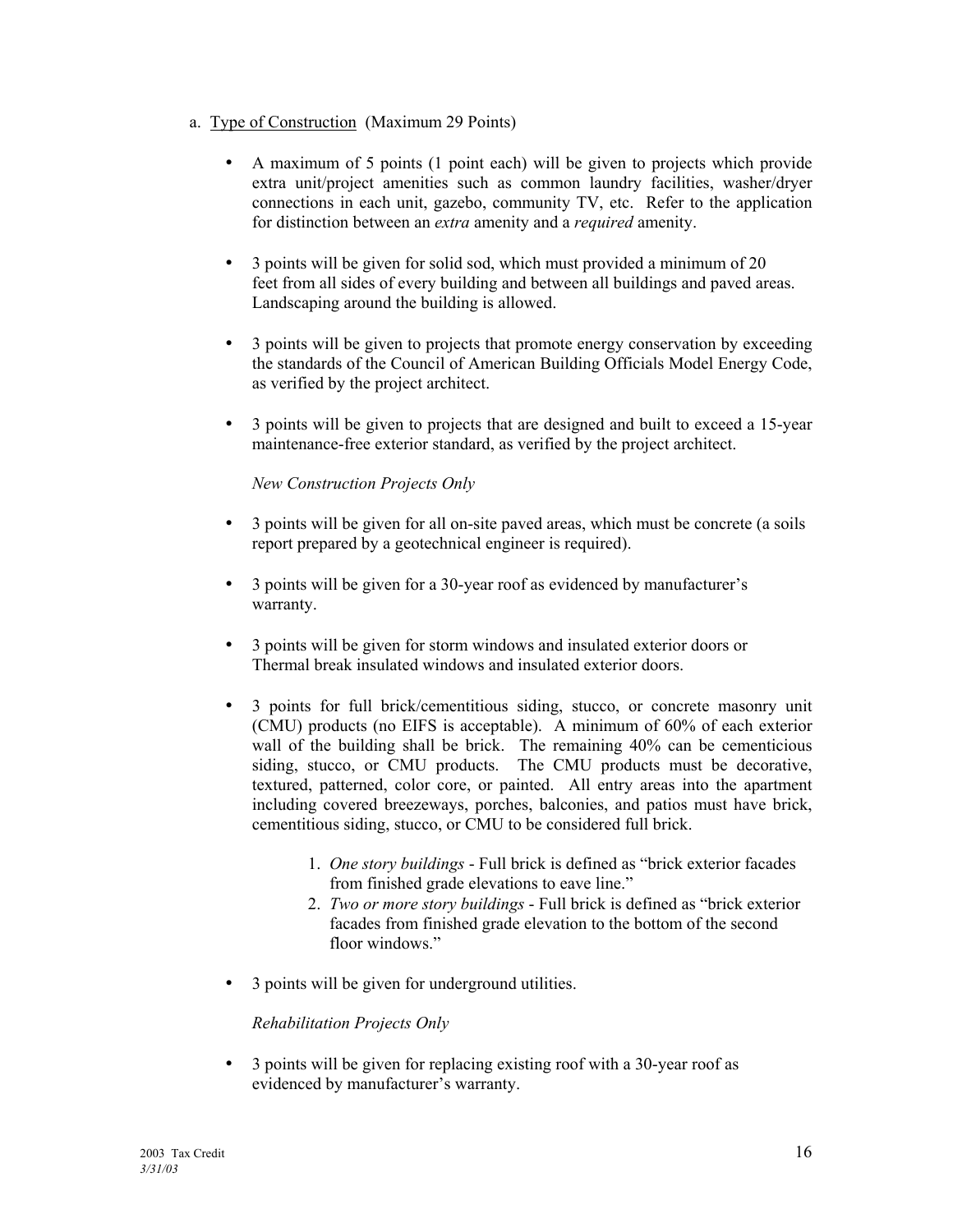- a. Type of Construction (Maximum 29 Points)
	- A maximum of 5 points (1 point each) will be given to projects which provide extra unit/project amenities such as common laundry facilities, washer/dryer connections in each unit, gazebo, community TV, etc. Refer to the application for distinction between an *extra* amenity and a *required* amenity.
	- 3 points will be given for solid sod, which must provided a minimum of 20 feet from all sides of every building and between all buildings and paved areas. Landscaping around the building is allowed.
	- 3 points will be given to projects that promote energy conservation by exceeding the standards of the Council of American Building Officials Model Energy Code, as verified by the project architect.
	- 3 points will be given to projects that are designed and built to exceed a 15-year maintenance-free exterior standard, as verified by the project architect.

#### *New Construction Projects Only*

- 3 points will be given for all on-site paved areas, which must be concrete (a soils report prepared by a geotechnical engineer is required).
- 3 points will be given for a 30-year roof as evidenced by manufacturer's warranty.
- 3 points will be given for storm windows and insulated exterior doors or Thermal break insulated windows and insulated exterior doors.
- 3 points for full brick/cementitious siding, stucco, or concrete masonry unit (CMU) products (no EIFS is acceptable). A minimum of 60% of each exterior wall of the building shall be brick. The remaining 40% can be cementicious siding, stucco, or CMU products. The CMU products must be decorative, textured, patterned, color core, or painted. All entry areas into the apartment including covered breezeways, porches, balconies, and patios must have brick, cementitious siding, stucco, or CMU to be considered full brick.
	- 1. *One story buildings* Full brick is defined as "brick exterior facades" from finished grade elevations to eave line."
	- 2. *Two or more story buildings* Full brick is defined as "brick exterior" facades from finished grade elevation to the bottom of the second floor windows."
- 3 points will be given for underground utilities.

#### *Rehabilitation Projects Only*

 • 3 points will be given for replacing existing roof with a 30-year roof as evidenced by manufacturer's warranty.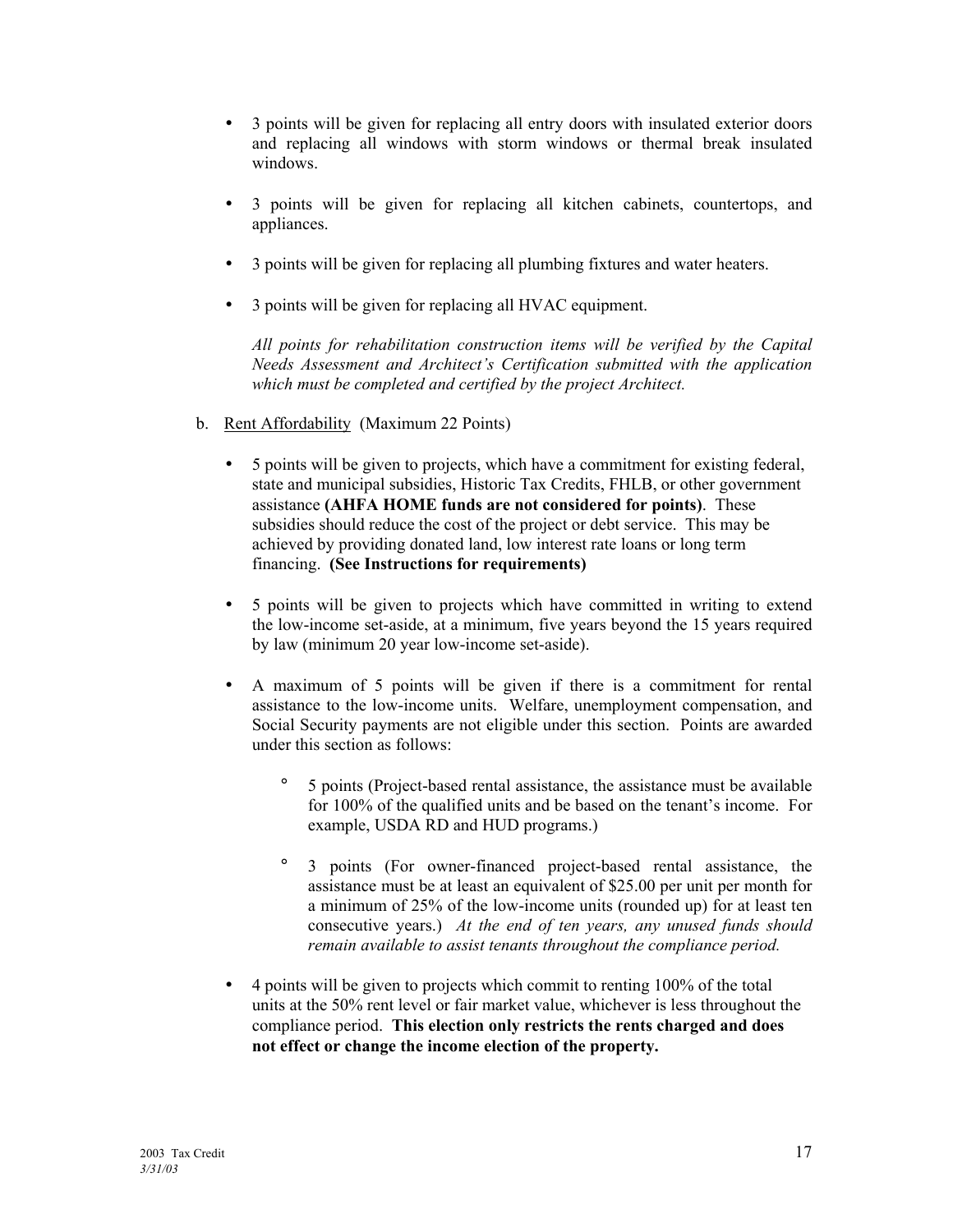- 3 points will be given for replacing all entry doors with insulated exterior doors and replacing all windows with storm windows or thermal break insulated windows.
- 3 points will be given for replacing all kitchen cabinets, countertops, and appliances.
- 3 points will be given for replacing all plumbing fixtures and water heaters.
- 3 points will be given for replacing all HVAC equipment.

 *All points for rehabilitation construction items will be verified by the Capital Needs Assessment and Architect's Certification submitted with the application which must be completed and certified by the project Architect.* 

- b. Rent Affordability (Maximum 22 Points)
	- 5 points will be given to projects, which have a commitment for existing federal, state and municipal subsidies, Historic Tax Credits, FHLB, or other government assistance **(AHFA HOME funds are not considered for points)**. These subsidies should reduce the cost of the project or debt service. This may be achieved by providing donated land, low interest rate loans or long term financing. **(See Instructions for requirements)**
	- 5 points will be given to projects which have committed in writing to extend the low-income set-aside, at a minimum, five years beyond the 15 years required by law (minimum 20 year low-income set-aside).
	- A maximum of 5 points will be given if there is a commitment for rental assistance to the low-income units. Welfare, unemployment compensation, and Social Security payments are not eligible under this section. Points are awarded under this section as follows:
		- ° 5 points (Project-based rental assistance, the assistance must be available for 100% of the qualified units and be based on the tenant's income. For example, USDA RD and HUD programs.)
		- ° 3 points (For owner-financed project-based rental assistance, the assistance must be at least an equivalent of \$25.00 per unit per month for a minimum of 25% of the low-income units (rounded up) for at least ten consecutive years.) *At the end of ten years, any unused funds should remain available to assist tenants throughout the compliance period.*
	- 4 points will be given to projects which commit to renting 100% of the total units at the 50% rent level or fair market value, whichever is less throughout the compliance period. **This election only restricts the rents charged and does not effect or change the income election of the property.**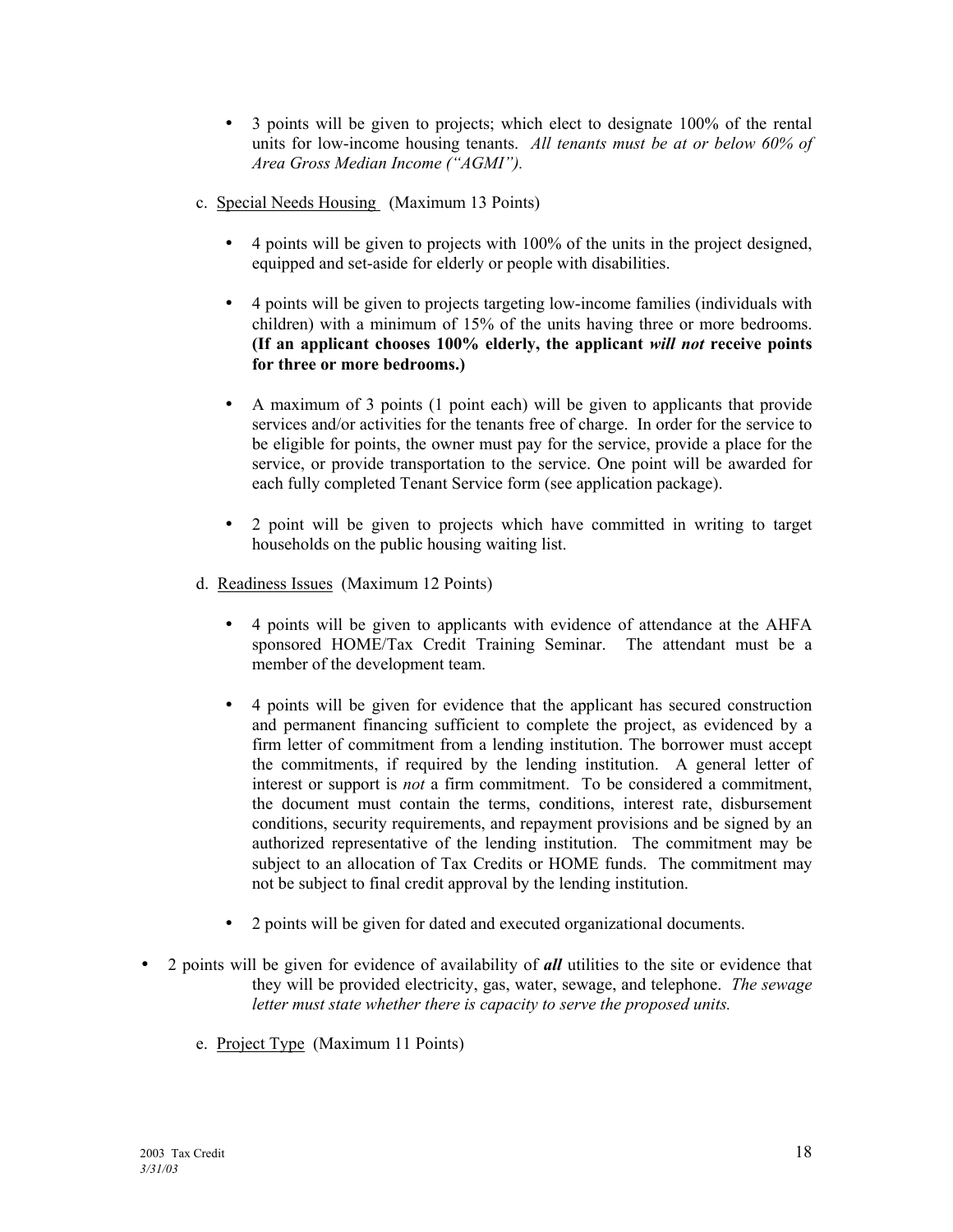- 3 points will be given to projects; which elect to designate 100% of the rental units for low-income housing tenants. *All tenants must be at or below 60% of*  Area Gross Median Income ("AGMI").
- c. Special Needs Housing (Maximum 13 Points)
	- 4 points will be given to projects with 100% of the units in the project designed, equipped and set-aside for elderly or people with disabilities.
	- 4 points will be given to projects targeting low-income families (individuals with children) with a minimum of 15% of the units having three or more bedrooms. **(If an applicant chooses 100% elderly, the applicant** *will not* **receive points for three or more bedrooms.)**
	- A maximum of 3 points (1 point each) will be given to applicants that provide services and/or activities for the tenants free of charge. In order for the service to be eligible for points, the owner must pay for the service, provide a place for the service, or provide transportation to the service. One point will be awarded for each fully completed Tenant Service form (see application package).
	- 2 point will be given to projects which have committed in writing to target households on the public housing waiting list.
- d. Readiness Issues (Maximum 12 Points)
	- 4 points will be given to applicants with evidence of attendance at the AHFA sponsored HOME/Tax Credit Training Seminar. The attendant must be a member of the development team.
	- 4 points will be given for evidence that the applicant has secured construction and permanent financing sufficient to complete the project, as evidenced by a firm letter of commitment from a lending institution. The borrower must accept the commitments, if required by the lending institution. A general letter of interest or support is *not* a firm commitment. To be considered a commitment, the document must contain the terms, conditions, interest rate, disbursement conditions, security requirements, and repayment provisions and be signed by an authorized representative of the lending institution. The commitment may be subject to an allocation of Tax Credits or HOME funds. The commitment may not be subject to final credit approval by the lending institution.
	- 2 points will be given for dated and executed organizational documents.
- 2 points will be given for evidence of availability of **all** utilities to the site or evidence that they will be provided electricity, gas, water, sewage, and telephone. *The sewage letter must state whether there is capacity to serve the proposed units.*
	- e. Project Type (Maximum 11 Points)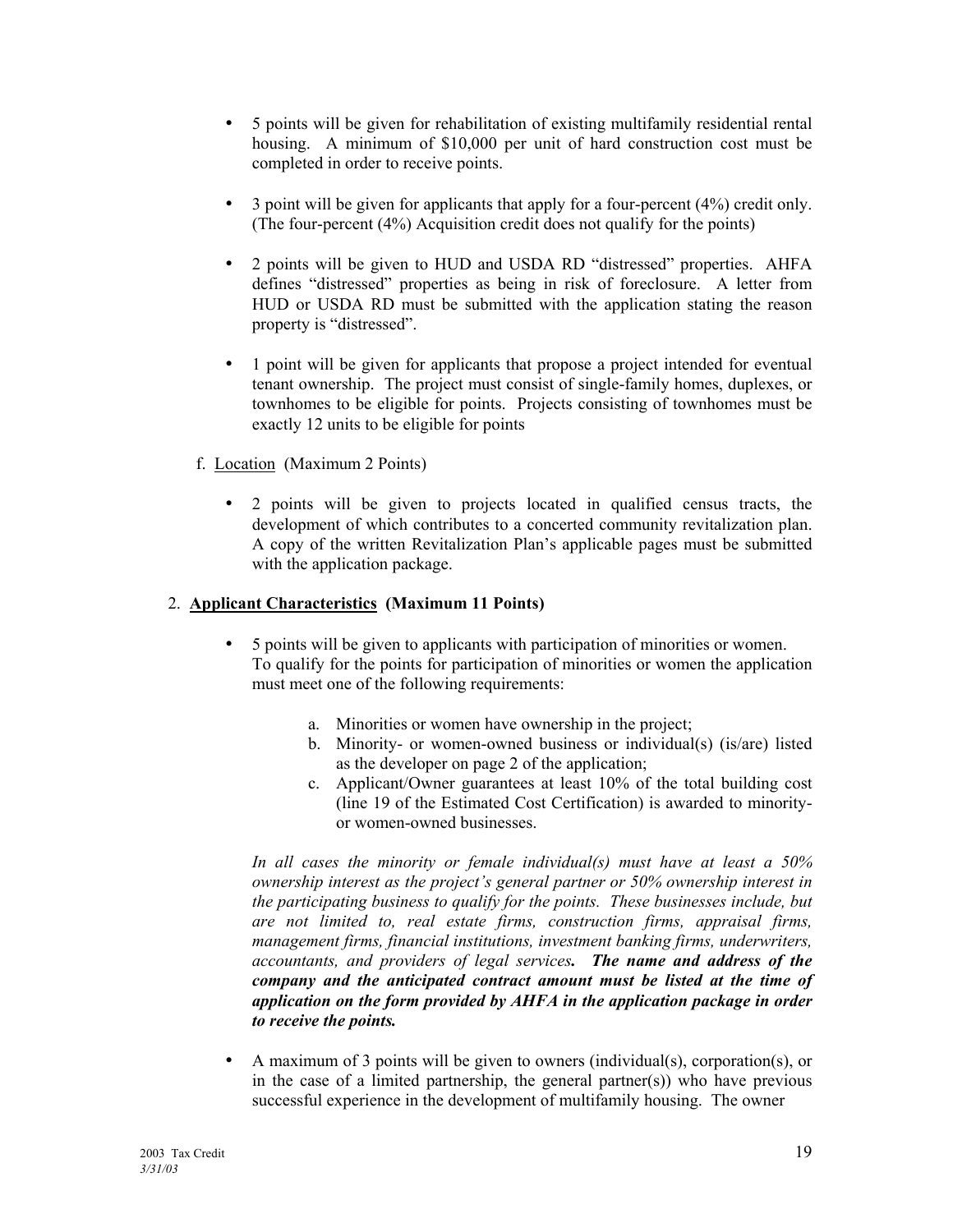- 5 points will be given for rehabilitation of existing multifamily residential rental housing. A minimum of \$10,000 per unit of hard construction cost must be completed in order to receive points.
- $\bullet$  3 point will be given for applicants that apply for a four-percent (4%) credit only. (The four-percent (4%) Acquisition credit does not qualify for the points)
- 2 points will be given to HUD and USDA RD "distressed" properties. AHFA defines "distressed" properties as being in risk of foreclosure. A letter from HUD or USDA RD must be submitted with the application stating the reason property is "distressed".
- 1 point will be given for applicants that propose a project intended for eventual tenant ownership. The project must consist of single-family homes, duplexes, or townhomes to be eligible for points. Projects consisting of townhomes must be exactly 12 units to be eligible for points
- f. Location (Maximum 2 Points)
	- 2 points will be given to projects located in qualified census tracts, the development of which contributes to a concerted community revitalization plan. A copy of the written Revitalization Plan's applicable pages must be submitted with the application package.

#### 2. **Applicant Characteristics (Maximum 11 Points)**

- 5 points will be given to applicants with participation of minorities or women. To qualify for the points for participation of minorities or women the application must meet one of the following requirements:
	- a. Minorities or women have ownership in the project;
	- b. Minority- or women-owned business or individual(s) (is/are) listed as the developer on page 2 of the application;
	- c. Applicant/Owner guarantees at least 10% of the total building cost (line 19 of the Estimated Cost Certification) is awarded to minorityor women-owned businesses.

 *In all cases the minority or female individual(s) must have at least a 50% ownership interest as the project's general partner or 50% ownership interest in the participating business to qualify for the points. These businesses include, but are not limited to, real estate firms, construction firms, appraisal firms, management firms, financial institutions, investment banking firms, underwriters, accountants, and providers of legal services. The name and address of the company and the anticipated contract amount must be listed at the time of application on the form provided by AHFA in the application package in order to receive the points.*

 • A maximum of 3 points will be given to owners (individual(s), corporation(s), or in the case of a limited partnership, the general partner(s)) who have previous successful experience in the development of multifamily housing. The owner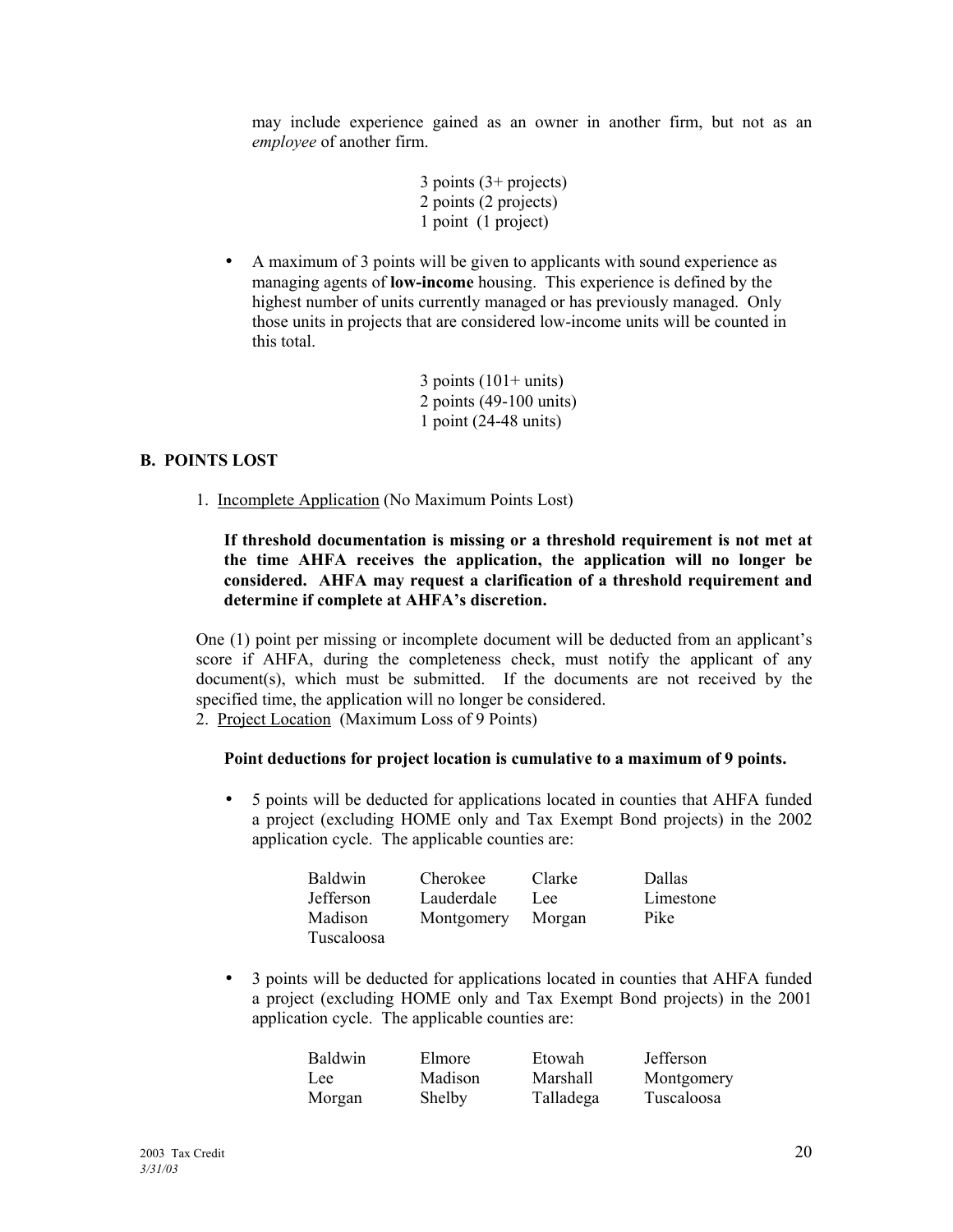may include experience gained as an owner in another firm, but not as an *employee* of another firm.

- 3 points (3+ projects) 2 points (2 projects) 1 point (1 project)
- A maximum of 3 points will be given to applicants with sound experience as managing agents of **low-income** housing. This experience is defined by the highest number of units currently managed or has previously managed. Only those units in projects that are considered low-income units will be counted in this total.
	- $3$  points  $(101+$  units) 2 points (49-100 units) 1 point (24-48 units)

#### **B. POINTS LOST**

1. Incomplete Application (No Maximum Points Lost)

#### **If threshold documentation is missing or a threshold requirement is not met at the time AHFA receives the application, the application will no longer be considered. AHFA may request a clarification of a threshold requirement and**  determine if complete at **AHFA**'s discretion.

One (1) point per missing or incomplete document will be deducted from an applicant's score if AHFA, during the completeness check, must notify the applicant of any  $document(s)$ , which must be submitted. If the documents are not received by the specified time, the application will no longer be considered.

2. Project Location (Maximum Loss of 9 Points)

#### **Point deductions for project location is cumulative to a maximum of 9 points.**

• 5 points will be deducted for applications located in counties that AHFA funded a project (excluding HOME only and Tax Exempt Bond projects) in the 2002 application cycle. The applicable counties are:

| <b>Baldwin</b>   | Cherokee   | Clarke | Dallas    |
|------------------|------------|--------|-----------|
| <b>Jefferson</b> | Lauderdale | Lee.   | Limestone |
| Madison          | Montgomery | Morgan | Pike      |
| Tuscaloosa       |            |        |           |

• 3 points will be deducted for applications located in counties that AHFA funded a project (excluding HOME only and Tax Exempt Bond projects) in the 2001 application cycle. The applicable counties are:

| <b>Baldwin</b> | Elmore  | Etowah    | Jefferson  |
|----------------|---------|-----------|------------|
| Lee.           | Madison | Marshall  | Montgomery |
| Morgan         | Shelby  | Talladega | Tuscaloosa |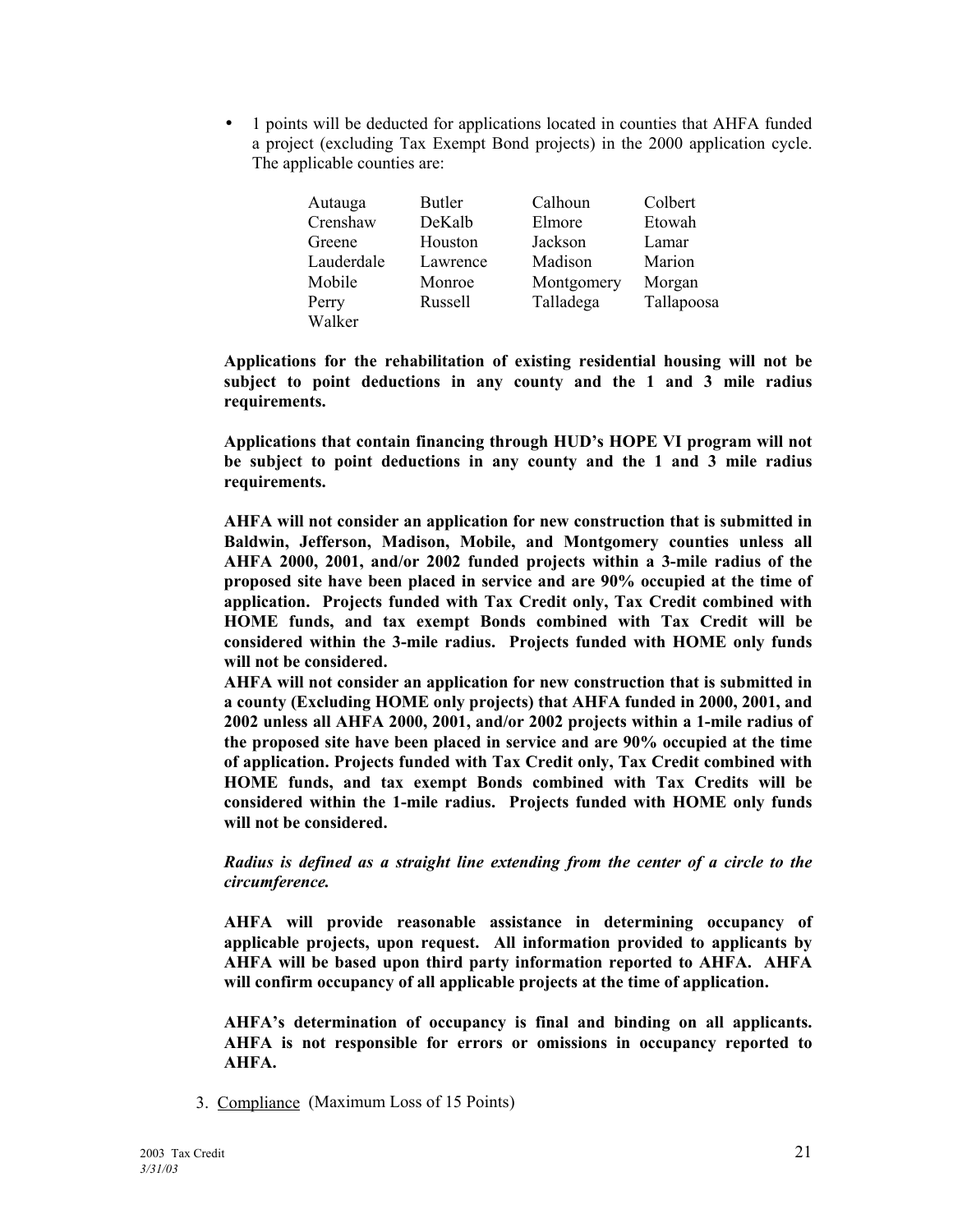• 1 points will be deducted for applications located in counties that AHFA funded a project (excluding Tax Exempt Bond projects) in the 2000 application cycle. The applicable counties are:

| Autauga    | <b>Butler</b> | Calhoun    | Colbert    |
|------------|---------------|------------|------------|
| Crenshaw   | DeKalb        | Elmore     | Etowah     |
| Greene     | Houston       | Jackson    | Lamar      |
| Lauderdale | Lawrence      | Madison    | Marion     |
| Mobile     | Monroe        | Montgomery | Morgan     |
| Perry      | Russell       | Talladega  | Tallapoosa |
| Walker     |               |            |            |

**Applications for the rehabilitation of existing residential housing will not be subject to point deductions in any county and the 1 and 3 mile radius requirements.** 

**Applications that contain financing through HUDís HOPE VI program will not be subject to point deductions in any county and the 1 and 3 mile radius requirements.** 

**AHFA will not consider an application for new construction that is submitted in Baldwin, Jefferson, Madison, Mobile, and Montgomery counties unless all AHFA 2000, 2001, and/or 2002 funded projects within a 3-mile radius of the proposed site have been placed in service and are 90% occupied at the time of application. Projects funded with Tax Credit only, Tax Credit combined with HOME funds, and tax exempt Bonds combined with Tax Credit will be considered within the 3-mile radius. Projects funded with HOME only funds will not be considered.** 

**AHFA will not consider an application for new construction that is submitted in a county (Excluding HOME only projects) that AHFA funded in 2000, 2001, and 2002 unless all AHFA 2000, 2001, and/or 2002 projects within a 1-mile radius of the proposed site have been placed in service and are 90% occupied at the time of application. Projects funded with Tax Credit only, Tax Credit combined with HOME funds, and tax exempt Bonds combined with Tax Credits will be considered within the 1-mile radius. Projects funded with HOME only funds will not be considered.** 

*Radius is defined as a straight line extending from the center of a circle to the circumference.* 

**AHFA will provide reasonable assistance in determining occupancy of applicable projects, upon request. All information provided to applicants by AHFA will be based upon third party information reported to AHFA. AHFA will confirm occupancy of all applicable projects at the time of application.** 

**AHFAís determination of occupancy is final and binding on all applicants. AHFA is not responsible for errors or omissions in occupancy reported to AHFA.** 

3. Compliance (Maximum Loss of 15 Points)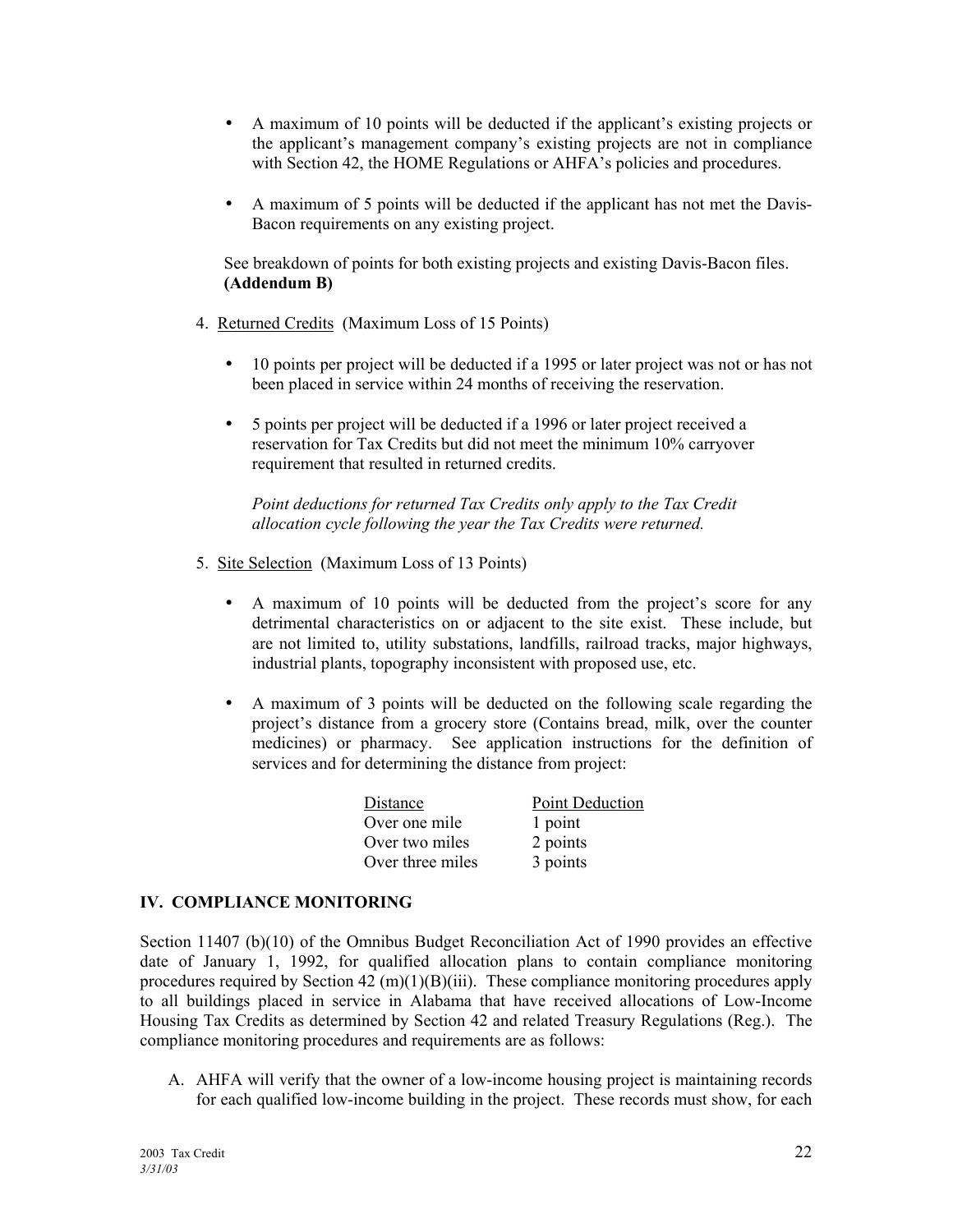- A maximum of 10 points will be deducted if the applicant's existing projects or the applicant's management company's existing projects are not in compliance with Section 42, the HOME Regulations or AHFA's policies and procedures.
- A maximum of 5 points will be deducted if the applicant has not met the Davis- Bacon requirements on any existing project.

See breakdown of points for both existing projects and existing Davis-Bacon files. **(Addendum B)** 

- 4. Returned Credits (Maximum Loss of 15 Points)
	- 10 points per project will be deducted if a 1995 or later project was not or has not been placed in service within 24 months of receiving the reservation.
	- 5 points per project will be deducted if a 1996 or later project received a reservation for Tax Credits but did not meet the minimum 10% carryover requirement that resulted in returned credits.

 *Point deductions for returned Tax Credits only apply to the Tax Credit allocation cycle following the year the Tax Credits were returned.* 

- 5. Site Selection (Maximum Loss of 13 Points)
	- A maximum of 10 points will be deducted from the project's score for any detrimental characteristics on or adjacent to the site exist. These include, but are not limited to, utility substations, landfills, railroad tracks, major highways, industrial plants, topography inconsistent with proposed use, etc.
	- A maximum of 3 points will be deducted on the following scale regarding the project's distance from a grocery store (Contains bread, milk, over the counter medicines) or pharmacy. See application instructions for the definition of services and for determining the distance from project:

| Distance         | <b>Point Deduction</b> |
|------------------|------------------------|
| Over one mile    | 1 point                |
| Over two miles   | 2 points               |
| Over three miles | 3 points               |

#### **IV. COMPLIANCE MONITORING**

Section 11407 (b)(10) of the Omnibus Budget Reconciliation Act of 1990 provides an effective date of January 1, 1992, for qualified allocation plans to contain compliance monitoring procedures required by Section 42 (m)(1)(B)(iii). These compliance monitoring procedures apply to all buildings placed in service in Alabama that have received allocations of Low-Income Housing Tax Credits as determined by Section 42 and related Treasury Regulations (Reg.). The compliance monitoring procedures and requirements are as follows:

A. AHFA will verify that the owner of a low-income housing project is maintaining records for each qualified low-income building in the project. These records must show, for each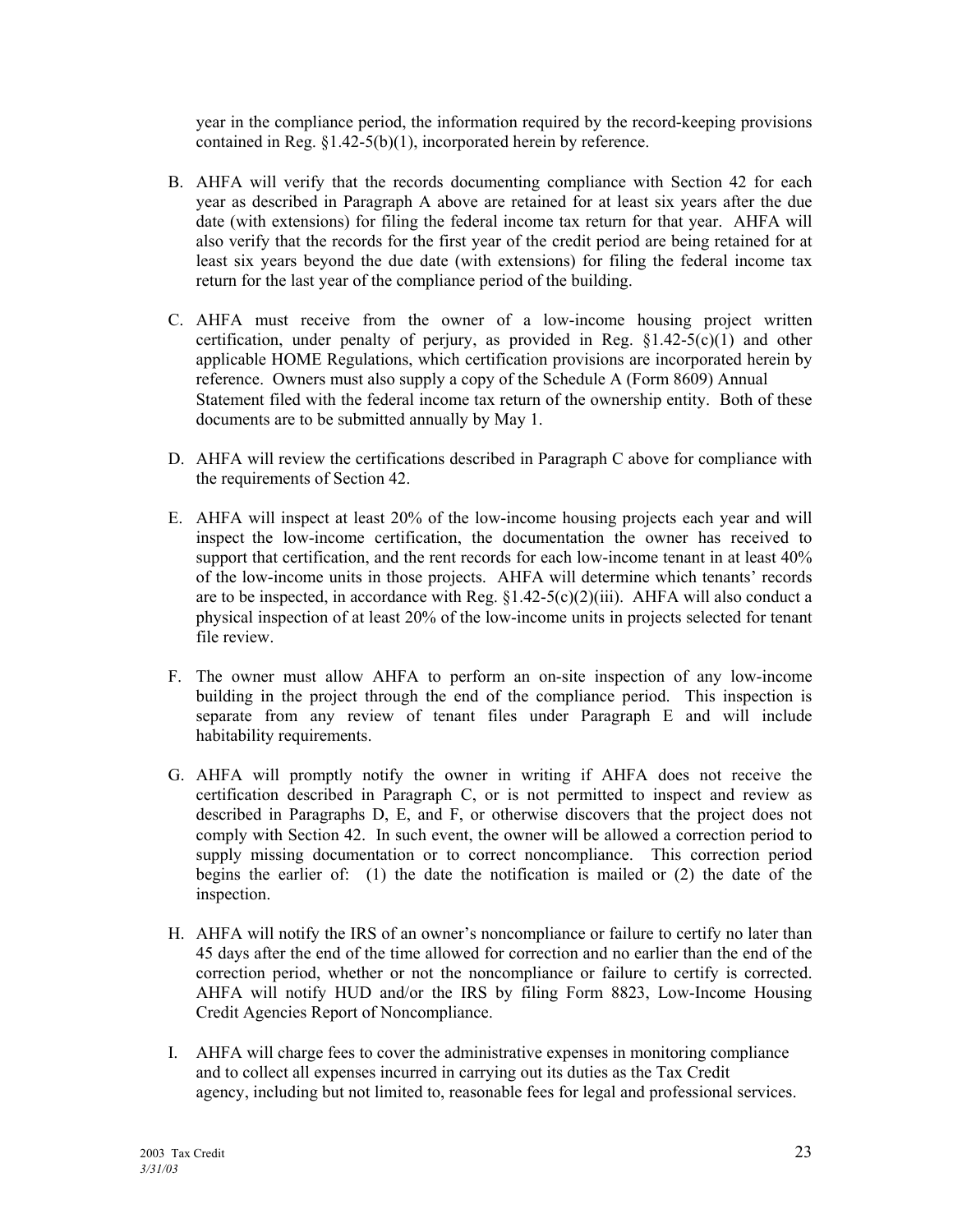year in the compliance period, the information required by the record-keeping provisions contained in Reg. ß1.42-5(b)(1), incorporated herein by reference.

- B. AHFA will verify that the records documenting compliance with Section 42 for each year as described in Paragraph A above are retained for at least six years after the due date (with extensions) for filing the federal income tax return for that year. AHFA will also verify that the records for the first year of the credit period are being retained for at least six years beyond the due date (with extensions) for filing the federal income tax return for the last year of the compliance period of the building.
- C. AHFA must receive from the owner of a low-income housing project written certification, under penalty of perjury, as provided in Reg.  $§1.42-5(c)(1)$  and other applicable HOME Regulations, which certification provisions are incorporated herein by reference. Owners must also supply a copy of the Schedule A (Form 8609) Annual Statement filed with the federal income tax return of the ownership entity. Both of these documents are to be submitted annually by May 1.
- D. AHFA will review the certifications described in Paragraph C above for compliance with the requirements of Section 42.
- E. AHFA will inspect at least 20% of the low-income housing projects each year and will inspect the low-income certification, the documentation the owner has received to support that certification, and the rent records for each low-income tenant in at least 40% of the low-income units in those projects. AHFA will determine which tenants' records are to be inspected, in accordance with Reg.  $\S1.42-5(c)(2)(iii)$ . AHFA will also conduct a physical inspection of at least 20% of the low-income units in projects selected for tenant file review.
- F. The owner must allow AHFA to perform an on-site inspection of any low-income building in the project through the end of the compliance period. This inspection is separate from any review of tenant files under Paragraph E and will include habitability requirements.
- G. AHFA will promptly notify the owner in writing if AHFA does not receive the certification described in Paragraph C, or is not permitted to inspect and review as described in Paragraphs D, E, and F, or otherwise discovers that the project does not comply with Section 42. In such event, the owner will be allowed a correction period to supply missing documentation or to correct noncompliance. This correction period begins the earlier of: (1) the date the notification is mailed or (2) the date of the inspection.
- H. AHFA will notify the IRS of an owner's noncompliance or failure to certify no later than 45 days after the end of the time allowed for correction and no earlier than the end of the correction period, whether or not the noncompliance or failure to certify is corrected. AHFA will notify HUD and/or the IRS by filing Form 8823, Low-Income Housing Credit Agencies Report of Noncompliance.
- I. AHFA will charge fees to cover the administrative expenses in monitoring compliance and to collect all expenses incurred in carrying out its duties as the Tax Credit agency, including but not limited to, reasonable fees for legal and professional services.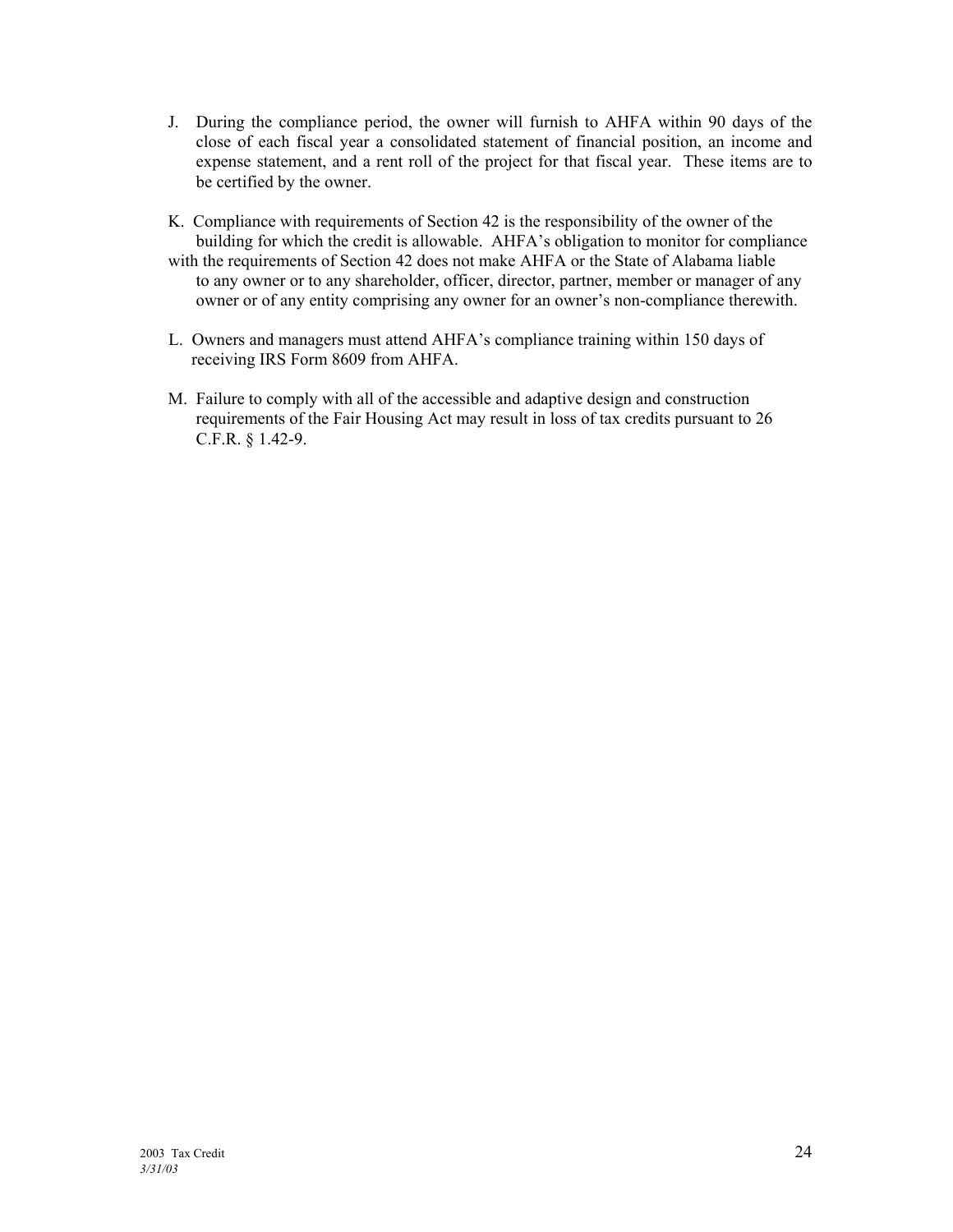- J. During the compliance period, the owner will furnish to AHFA within 90 days of the close of each fiscal year a consolidated statement of financial position, an income and expense statement, and a rent roll of the project for that fiscal year. These items are to be certified by the owner.
- K. Compliance with requirements of Section 42 is the responsibility of the owner of the building for which the credit is allowable. AHFA's obligation to monitor for compliance with the requirements of Section 42 does not make AHFA or the State of Alabama liable to any owner or to any shareholder, officer, director, partner, member or manager of any owner or of any entity comprising any owner for an owner's non-compliance therewith.
- L. Owners and managers must attend AHFA's compliance training within 150 days of receiving IRS Form 8609 from AHFA.
- M. Failure to comply with all of the accessible and adaptive design and construction requirements of the Fair Housing Act may result in loss of tax credits pursuant to 26 C.F.R. ß 1.42-9.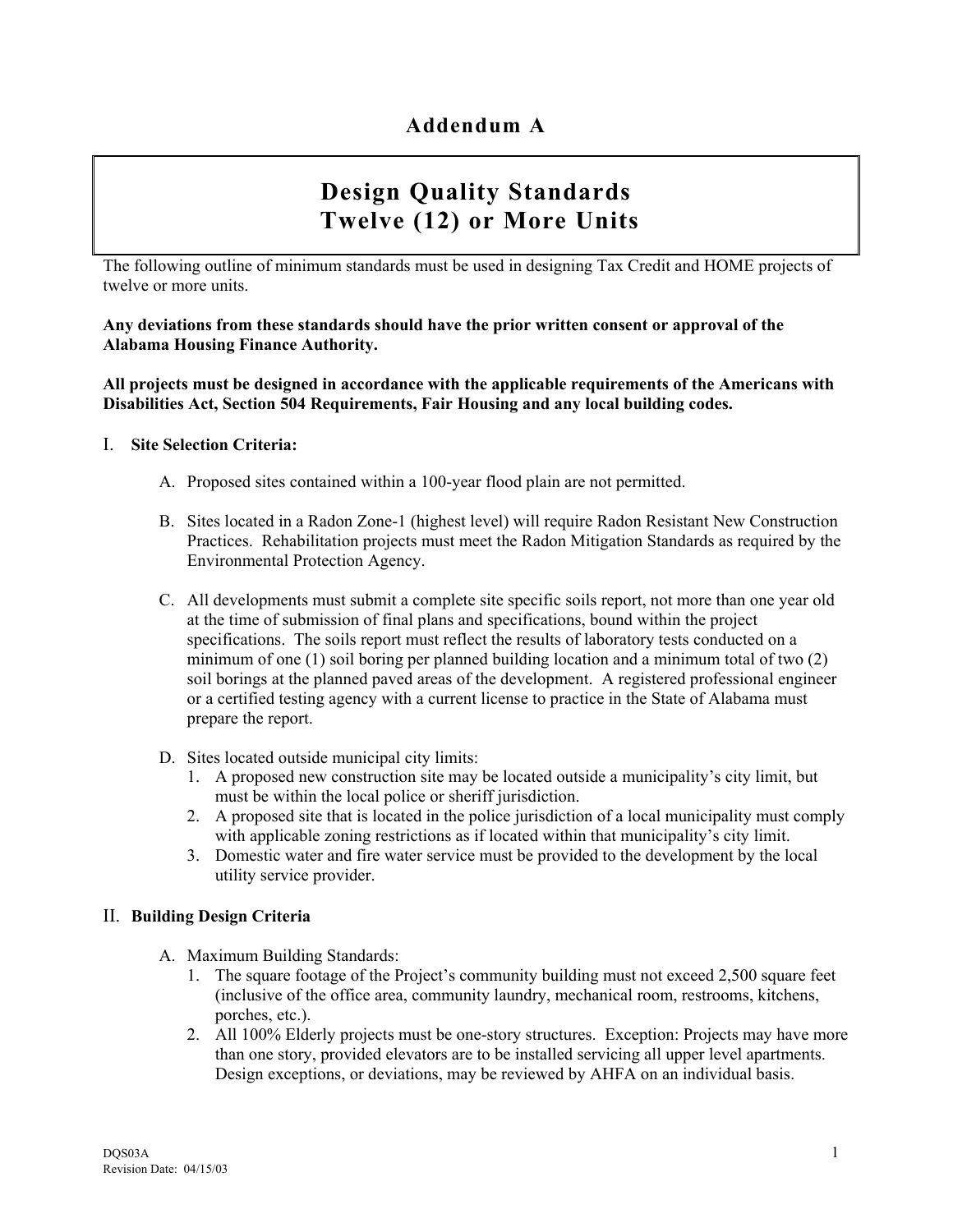# **Design Quality Standards Twelve (12) or More Units**

The following outline of minimum standards must be used in designing Tax Credit and HOME projects of twelve or more units.

**Any deviations from these standards should have the prior written consent or approval of the Alabama Housing Finance Authority.** 

**All projects must be designed in accordance with the applicable requirements of the Americans with Disabilities Act, Section 504 Requirements, Fair Housing and any local building codes.** 

#### I. **Site Selection Criteria:**

- A. Proposed sites contained within a 100-year flood plain are not permitted.
- B. Sites located in a Radon Zone-1 (highest level) will require Radon Resistant New Construction Practices. Rehabilitation projects must meet the Radon Mitigation Standards as required by the Environmental Protection Agency.
- C. All developments must submit a complete site specific soils report, not more than one year old at the time of submission of final plans and specifications, bound within the project specifications. The soils report must reflect the results of laboratory tests conducted on a minimum of one (1) soil boring per planned building location and a minimum total of two (2) soil borings at the planned paved areas of the development. A registered professional engineer or a certified testing agency with a current license to practice in the State of Alabama must prepare the report.
- D. Sites located outside municipal city limits:
	- 1. A proposed new construction site may be located outside a municipalityís city limit, but must be within the local police or sheriff jurisdiction.
	- 2. A proposed site that is located in the police jurisdiction of a local municipality must comply with applicable zoning restrictions as if located within that municipality's city limit.
	- 3. Domestic water and fire water service must be provided to the development by the local utility service provider.

#### II. **Building Design Criteria**

- A. Maximum Building Standards:
	- 1. The square footage of the Project's community building must not exceed 2,500 square feet (inclusive of the office area, community laundry, mechanical room, restrooms, kitchens, porches, etc.).
	- 2. All 100% Elderly projects must be one-story structures. Exception: Projects may have more than one story, provided elevators are to be installed servicing all upper level apartments. Design exceptions, or deviations, may be reviewed by AHFA on an individual basis.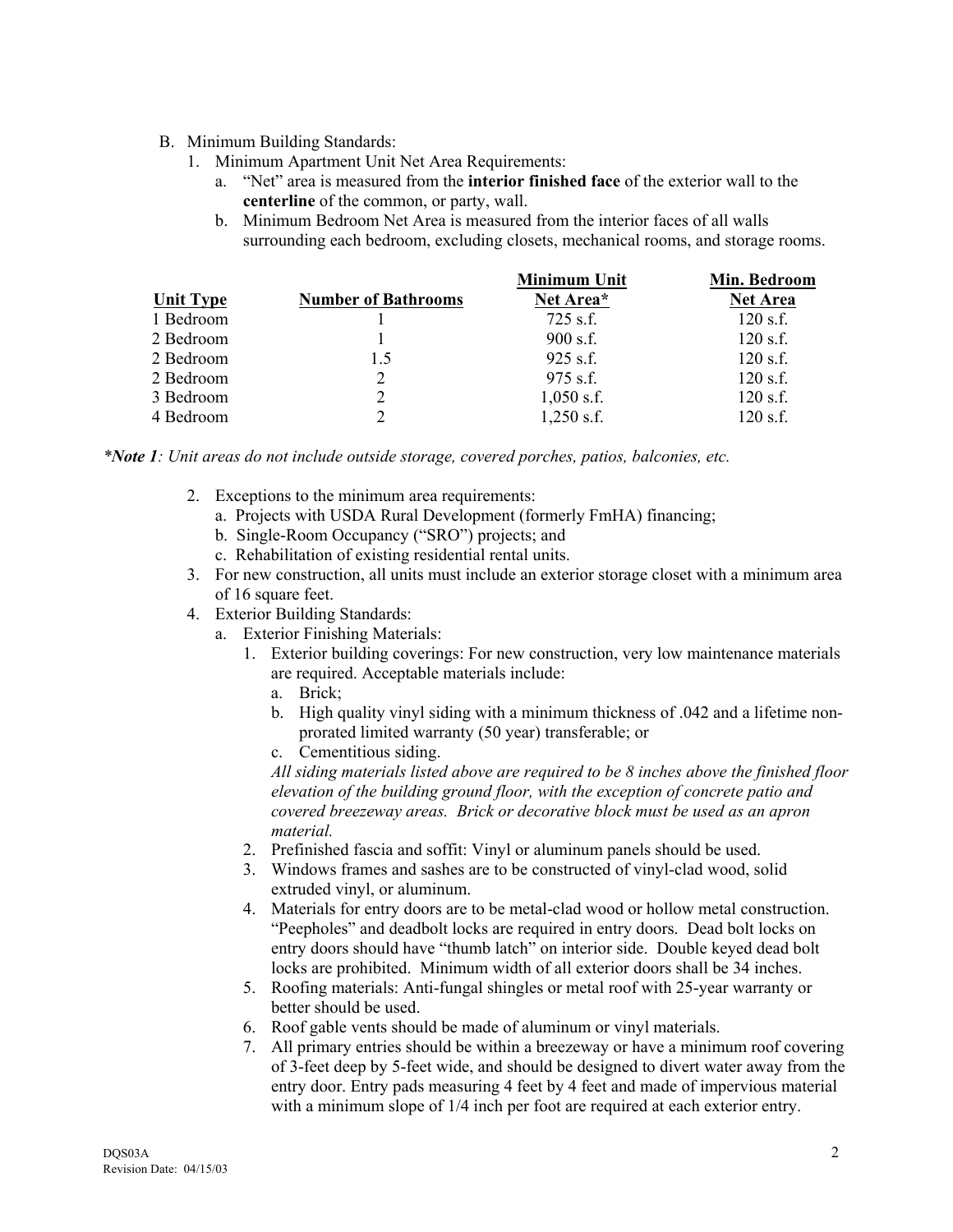#### B. Minimum Building Standards:

- 1. Minimum Apartment Unit Net Area Requirements:
	- a. "Net" area is measured from the **interior finished face** of the exterior wall to the **centerline** of the common, or party, wall.
	- b. Minimum Bedroom Net Area is measured from the interior faces of all walls surrounding each bedroom, excluding closets, mechanical rooms, and storage rooms.

|                  |                            | <b>Minimum Unit</b> | Min. Bedroom    |
|------------------|----------------------------|---------------------|-----------------|
| <b>Unit Type</b> | <b>Number of Bathrooms</b> | Net Area*           | <b>Net Area</b> |
| 1 Bedroom        |                            | $725$ s.f.          | $120$ s.f.      |
| 2 Bedroom        |                            | $900$ s.f.          | $120$ s.f.      |
| 2 Bedroom        | 1.5                        | $925$ s.f.          | $120$ s.f.      |
| 2 Bedroom        | 2                          | $975$ s.f.          | $120$ s.f.      |
| 3 Bedroom        | 2                          | $1,050$ s.f.        | $120$ s.f.      |
| 4 Bedroom        | 2                          | $1,250$ s.f.        | $120$ s.f.      |

*\*Note 1: Unit areas do not include outside storage, covered porches, patios, balconies, etc.* 

- 2. Exceptions to the minimum area requirements:
	- a. Projects with USDA Rural Development (formerly FmHA) financing;
	- b. Single-Room Occupancy ("SRO") projects; and
	- c. Rehabilitation of existing residential rental units.
- 3. For new construction, all units must include an exterior storage closet with a minimum area of 16 square feet.
- 4. Exterior Building Standards:
	- a. Exterior Finishing Materials:
		- 1. Exterior building coverings: For new construction, very low maintenance materials are required. Acceptable materials include:
			- a. Brick;
			- b. High quality vinyl siding with a minimum thickness of .042 and a lifetime nonprorated limited warranty (50 year) transferable; or
			- c. Cementitious siding.

*All siding materials listed above are required to be 8 inches above the finished floor elevation of the building ground floor, with the exception of concrete patio and covered breezeway areas. Brick or decorative block must be used as an apron material.* 

- 2. Prefinished fascia and soffit: Vinyl or aluminum panels should be used.
- 3. Windows frames and sashes are to be constructed of vinyl-clad wood, solid extruded vinyl, or aluminum.
- 4. Materials for entry doors are to be metal-clad wood or hollow metal construction. ìPeepholesî and deadbolt locks are required in entry doors. Dead bolt locks on entry doors should have "thumb latch" on interior side. Double keyed dead bolt locks are prohibited. Minimum width of all exterior doors shall be 34 inches.
- 5. Roofing materials: Anti-fungal shingles or metal roof with 25-year warranty or better should be used.
- 6. Roof gable vents should be made of aluminum or vinyl materials.
- 7. All primary entries should be within a breezeway or have a minimum roof covering of 3-feet deep by 5-feet wide, and should be designed to divert water away from the entry door. Entry pads measuring 4 feet by 4 feet and made of impervious material with a minimum slope of 1/4 inch per foot are required at each exterior entry.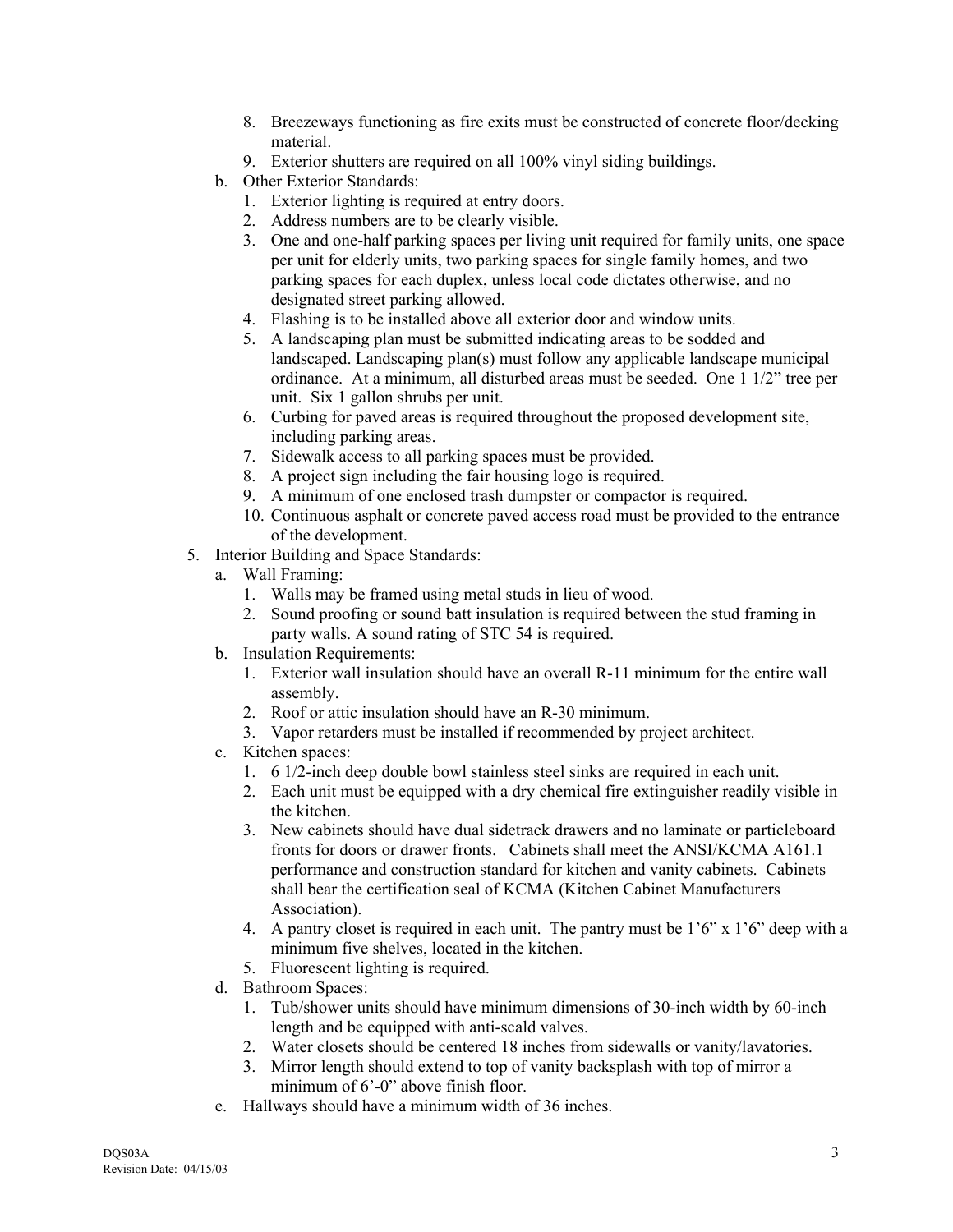- 8. Breezeways functioning as fire exits must be constructed of concrete floor/decking material.
- 9. Exterior shutters are required on all 100% vinyl siding buildings.
- b. Other Exterior Standards:
	- 1. Exterior lighting is required at entry doors.
	- 2. Address numbers are to be clearly visible.
	- 3. One and one-half parking spaces per living unit required for family units, one space per unit for elderly units, two parking spaces for single family homes, and two parking spaces for each duplex, unless local code dictates otherwise, and no designated street parking allowed.
	- 4. Flashing is to be installed above all exterior door and window units.
	- 5. A landscaping plan must be submitted indicating areas to be sodded and landscaped. Landscaping plan(s) must follow any applicable landscape municipal ordinance. At a minimum, all disturbed areas must be seeded. One  $1\frac{1}{2}$  tree per unit. Six 1 gallon shrubs per unit.
	- 6. Curbing for paved areas is required throughout the proposed development site, including parking areas.
	- 7. Sidewalk access to all parking spaces must be provided.
	- 8. A project sign including the fair housing logo is required.
	- 9. A minimum of one enclosed trash dumpster or compactor is required.
	- 10. Continuous asphalt or concrete paved access road must be provided to the entrance of the development.
- 5. Interior Building and Space Standards:
	- a. Wall Framing:
		- 1. Walls may be framed using metal studs in lieu of wood.
		- 2. Sound proofing or sound batt insulation is required between the stud framing in party walls. A sound rating of STC 54 is required.
	- b. Insulation Requirements:
		- 1. Exterior wall insulation should have an overall R-11 minimum for the entire wall assembly.
		- 2. Roof or attic insulation should have an R-30 minimum.
		- 3. Vapor retarders must be installed if recommended by project architect.
	- c. Kitchen spaces:
		- 1. 6 1/2-inch deep double bowl stainless steel sinks are required in each unit.
		- 2. Each unit must be equipped with a dry chemical fire extinguisher readily visible in the kitchen.
		- 3. New cabinets should have dual sidetrack drawers and no laminate or particleboard fronts for doors or drawer fronts. Cabinets shall meet the ANSI/KCMA A161.1 performance and construction standard for kitchen and vanity cabinets. Cabinets shall bear the certification seal of KCMA (Kitchen Cabinet Manufacturers Association).
		- 4. A pantry closet is required in each unit. The pantry must be  $1'6''$  x  $1'6''$  deep with a minimum five shelves, located in the kitchen.
		- 5. Fluorescent lighting is required.
	- d. Bathroom Spaces:
		- 1. Tub/shower units should have minimum dimensions of 30-inch width by 60-inch length and be equipped with anti-scald valves.
		- 2. Water closets should be centered 18 inches from sidewalls or vanity/lavatories.
		- 3. Mirror length should extend to top of vanity backsplash with top of mirror a minimum of  $6^{\circ}$ -0" above finish floor.
	- e. Hallways should have a minimum width of 36 inches.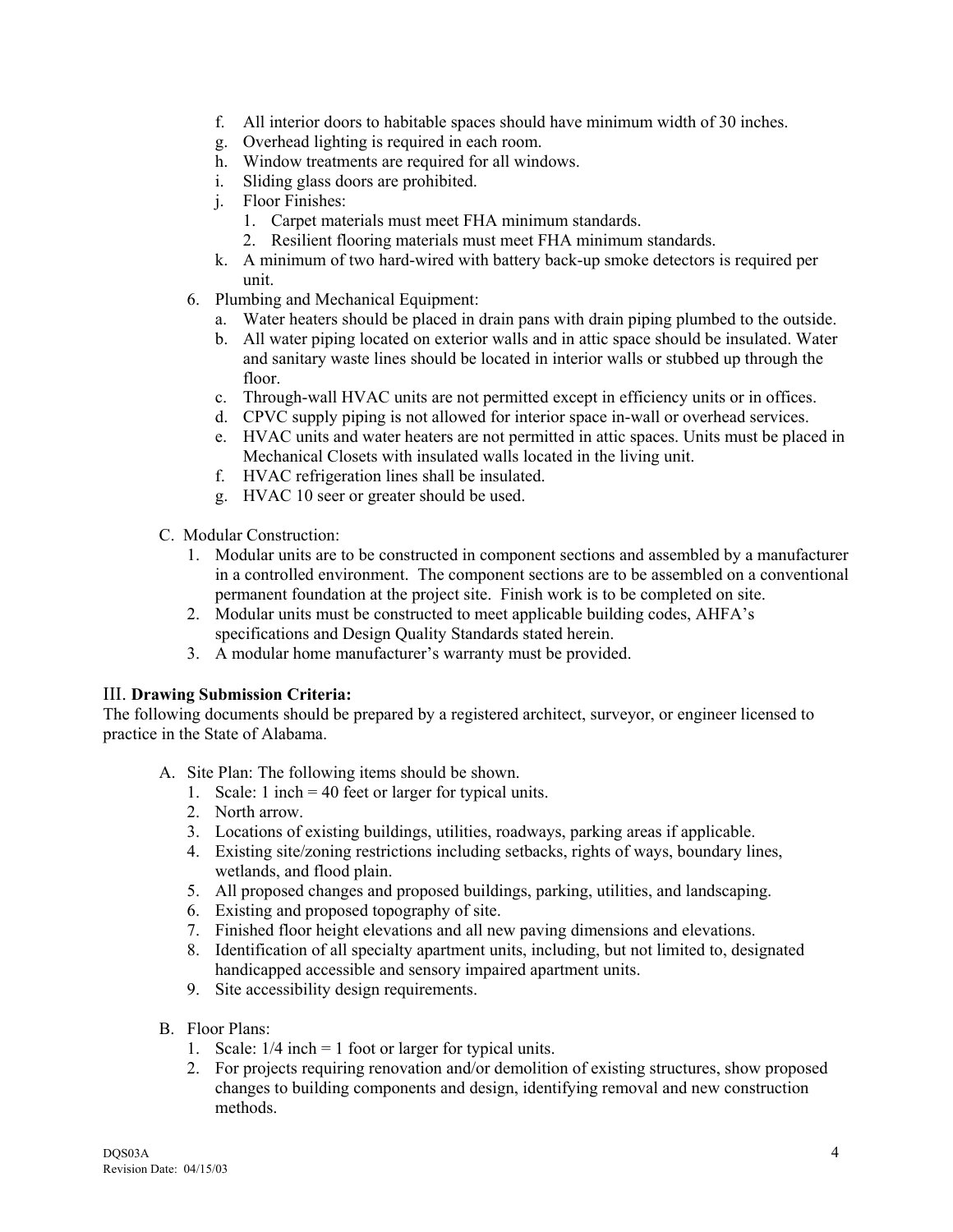- f. All interior doors to habitable spaces should have minimum width of 30 inches.
- g. Overhead lighting is required in each room.
- h. Window treatments are required for all windows.
- i. Sliding glass doors are prohibited.
- j. Floor Finishes:
	- 1. Carpet materials must meet FHA minimum standards.
	- 2. Resilient flooring materials must meet FHA minimum standards.
- k. A minimum of two hard-wired with battery back-up smoke detectors is required per unit.
- 6. Plumbing and Mechanical Equipment:
	- a. Water heaters should be placed in drain pans with drain piping plumbed to the outside.
	- b. All water piping located on exterior walls and in attic space should be insulated. Water and sanitary waste lines should be located in interior walls or stubbed up through the floor.
	- c. Through-wall HVAC units are not permitted except in efficiency units or in offices.
	- d. CPVC supply piping is not allowed for interior space in-wall or overhead services.
	- e. HVAC units and water heaters are not permitted in attic spaces. Units must be placed in Mechanical Closets with insulated walls located in the living unit.
	- f. HVAC refrigeration lines shall be insulated.
	- g. HVAC 10 seer or greater should be used.
- C. Modular Construction:
	- 1. Modular units are to be constructed in component sections and assembled by a manufacturer in a controlled environment. The component sections are to be assembled on a conventional permanent foundation at the project site. Finish work is to be completed on site.
	- 2. Modular units must be constructed to meet applicable building codes, AHFAís specifications and Design Quality Standards stated herein.
	- 3. A modular home manufacturer's warranty must be provided.

#### III. **Drawing Submission Criteria:**

The following documents should be prepared by a registered architect, surveyor, or engineer licensed to practice in the State of Alabama.

- A. Site Plan: The following items should be shown.
	- 1. Scale: 1 inch = 40 feet or larger for typical units.
	- 2. North arrow.
	- 3. Locations of existing buildings, utilities, roadways, parking areas if applicable.
	- 4. Existing site/zoning restrictions including setbacks, rights of ways, boundary lines, wetlands, and flood plain.
	- 5. All proposed changes and proposed buildings, parking, utilities, and landscaping.
	- 6. Existing and proposed topography of site.
	- 7. Finished floor height elevations and all new paving dimensions and elevations.
	- 8. Identification of all specialty apartment units, including, but not limited to, designated handicapped accessible and sensory impaired apartment units.
	- 9. Site accessibility design requirements.
- B. Floor Plans:
	- 1. Scale:  $1/4$  inch = 1 foot or larger for typical units.
	- 2. For projects requiring renovation and/or demolition of existing structures, show proposed changes to building components and design, identifying removal and new construction methods.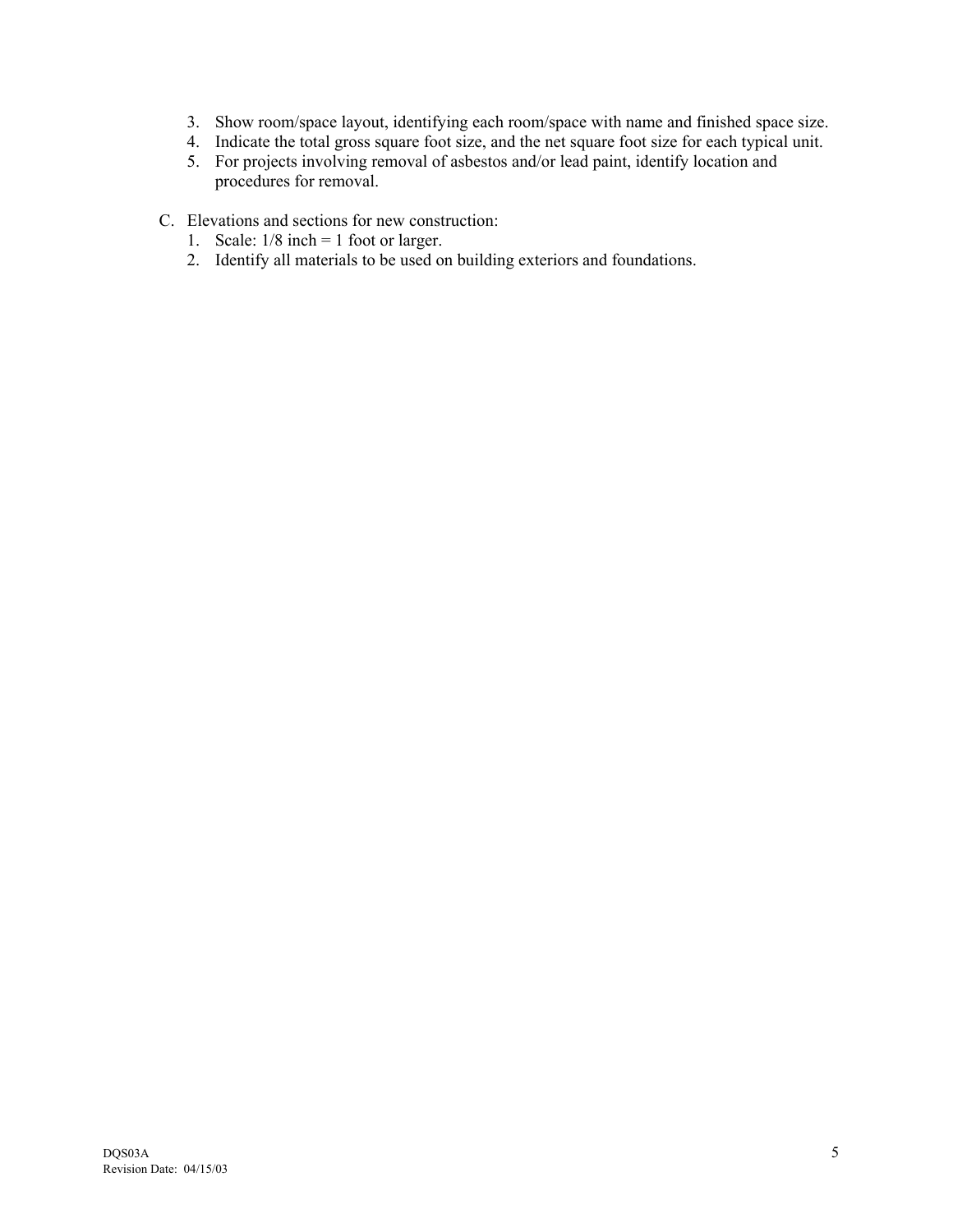- 3. Show room/space layout, identifying each room/space with name and finished space size.
- 4. Indicate the total gross square foot size, and the net square foot size for each typical unit.
- 5. For projects involving removal of asbestos and/or lead paint, identify location and procedures for removal.
- C. Elevations and sections for new construction:
	- 1. Scale:  $1/8$  inch = 1 foot or larger.
	- 2. Identify all materials to be used on building exteriors and foundations.